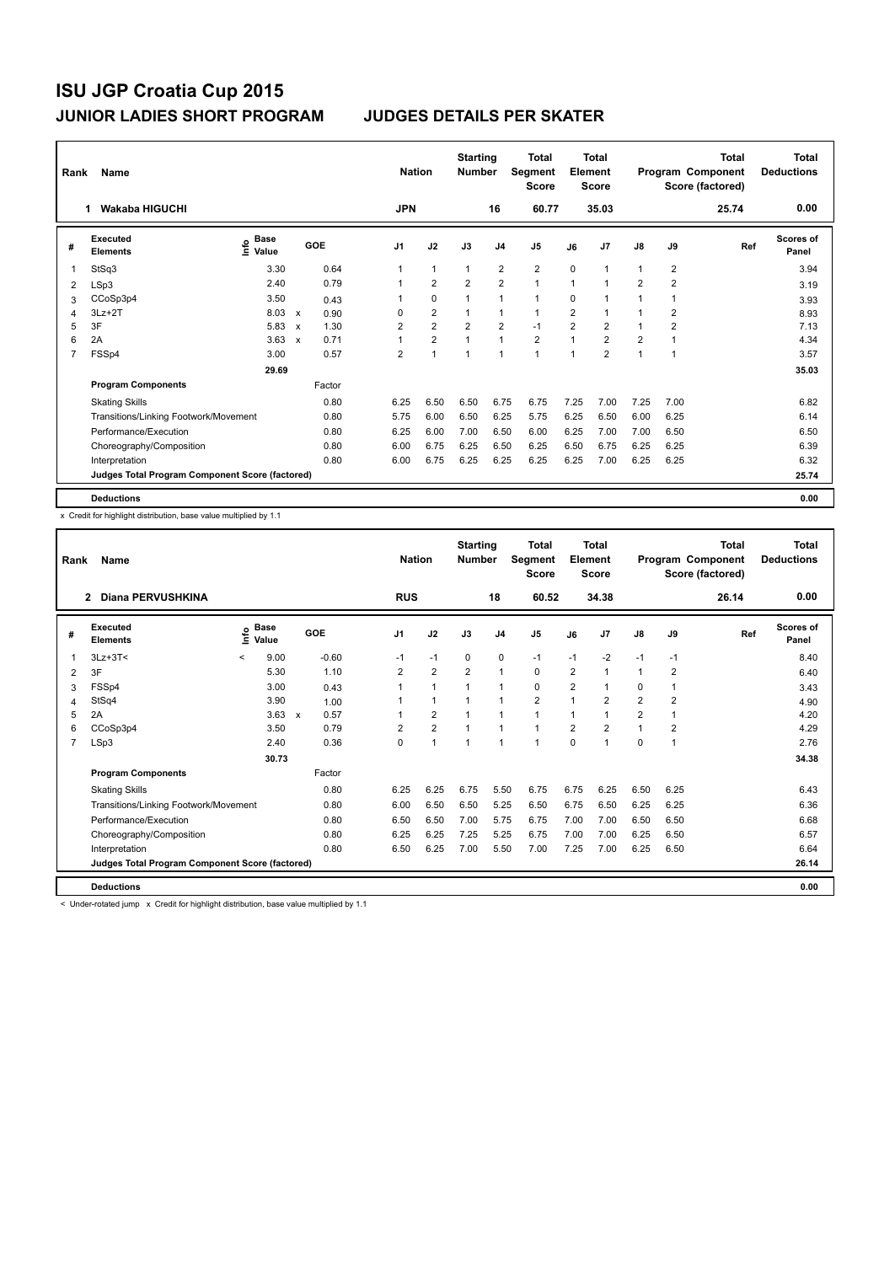| Rank           | Name<br><b>Wakaba HIGUCHI</b><br>1              |                                    |                           |        |                | <b>Nation</b>  | <b>Starting</b><br><b>Number</b> |                | <b>Total</b><br>Segment<br><b>Score</b> |                | <b>Total</b><br>Element<br><b>Score</b> |                         |                         | Total<br>Program Component<br>Score (factored) | Total<br><b>Deductions</b> |
|----------------|-------------------------------------------------|------------------------------------|---------------------------|--------|----------------|----------------|----------------------------------|----------------|-----------------------------------------|----------------|-----------------------------------------|-------------------------|-------------------------|------------------------------------------------|----------------------------|
|                |                                                 |                                    |                           |        | <b>JPN</b>     |                |                                  | 16             | 60.77                                   |                | 35.03                                   |                         |                         | 25.74                                          | 0.00                       |
| #              | Executed<br><b>Elements</b>                     | <b>Base</b><br>$\frac{6}{5}$ Value |                           | GOE    | J <sub>1</sub> | J2             | J3                               | J <sub>4</sub> | J <sub>5</sub>                          | J6             | J <sub>7</sub>                          | $\mathsf{J}8$           | J9                      | Ref                                            | Scores of<br>Panel         |
| 1              | StSq3                                           | 3.30                               |                           | 0.64   | 1              | $\mathbf{1}$   | $\mathbf{1}$                     | $\overline{2}$ | $\overline{\mathbf{c}}$                 | 0              | $\overline{1}$                          | 1                       | $\overline{\mathbf{c}}$ |                                                | 3.94                       |
| 2              | LSp3                                            | 2.40                               |                           | 0.79   |                | $\overline{2}$ | 2                                | $\overline{2}$ | $\mathbf{1}$                            | $\overline{1}$ | 1                                       | $\overline{2}$          | $\overline{2}$          |                                                | 3.19                       |
| 3              | CCoSp3p4                                        | 3.50                               |                           | 0.43   |                | 0              |                                  | 1              | $\blacktriangleleft$                    | 0              |                                         | 1                       | 1                       |                                                | 3.93                       |
| 4              | $3Lz + 2T$                                      | 8.03                               | $\boldsymbol{\mathsf{x}}$ | 0.90   | $\Omega$       | $\overline{2}$ |                                  | $\mathbf{1}$   | $\mathbf{1}$                            | $\overline{2}$ |                                         |                         | 2                       |                                                | 8.93                       |
| 5              | 3F                                              | 5.83                               | $\mathsf{x}$              | 1.30   | $\overline{2}$ | $\overline{2}$ | $\overline{2}$                   | $\overline{2}$ | $-1$                                    | $\overline{2}$ | $\overline{2}$                          | $\blacktriangleleft$    | $\overline{2}$          |                                                | 7.13                       |
| 6              | 2A                                              | 3.63                               | $\boldsymbol{\mathsf{x}}$ | 0.71   | 1              | $\overline{2}$ |                                  | $\overline{1}$ | $\overline{\mathbf{c}}$                 | 1              | $\overline{2}$                          | $\overline{\mathbf{c}}$ |                         |                                                | 4.34                       |
| $\overline{7}$ | FSSp4                                           | 3.00                               |                           | 0.57   | $\overline{2}$ | $\overline{1}$ | 1                                | $\mathbf{1}$   | $\mathbf{1}$                            | $\overline{1}$ | $\overline{2}$                          | 1                       | 1                       |                                                | 3.57                       |
|                |                                                 | 29.69                              |                           |        |                |                |                                  |                |                                         |                |                                         |                         |                         |                                                | 35.03                      |
|                | <b>Program Components</b>                       |                                    |                           | Factor |                |                |                                  |                |                                         |                |                                         |                         |                         |                                                |                            |
|                | <b>Skating Skills</b>                           |                                    |                           | 0.80   | 6.25           | 6.50           | 6.50                             | 6.75           | 6.75                                    | 7.25           | 7.00                                    | 7.25                    | 7.00                    |                                                | 6.82                       |
|                | Transitions/Linking Footwork/Movement           |                                    |                           | 0.80   | 5.75           | 6.00           | 6.50                             | 6.25           | 5.75                                    | 6.25           | 6.50                                    | 6.00                    | 6.25                    |                                                | 6.14                       |
|                | Performance/Execution                           |                                    |                           | 0.80   | 6.25           | 6.00           | 7.00                             | 6.50           | 6.00                                    | 6.25           | 7.00                                    | 7.00                    | 6.50                    |                                                | 6.50                       |
|                | Choreography/Composition                        |                                    |                           | 0.80   | 6.00           | 6.75           | 6.25                             | 6.50           | 6.25                                    | 6.50           | 6.75                                    | 6.25                    | 6.25                    |                                                | 6.39                       |
|                | Interpretation                                  |                                    |                           | 0.80   | 6.00           | 6.75           | 6.25                             | 6.25           | 6.25                                    | 6.25           | 7.00                                    | 6.25                    | 6.25                    |                                                | 6.32                       |
|                | Judges Total Program Component Score (factored) |                                    |                           |        |                |                |                                  |                |                                         |                |                                         |                         |                         |                                                | 25.74                      |
|                | <b>Deductions</b>                               |                                    |                           |        |                |                |                                  |                |                                         |                |                                         |                         |                         |                                                | 0.00                       |

x Credit for highlight distribution, base value multiplied by 1.1

| Rank           | Name                                            |                          |                      | <b>Nation</b> | <b>Starting</b><br><b>Number</b> |                | <b>Total</b><br>Segment<br><b>Score</b> |                | Total<br>Element<br><b>Score</b> |                |                | <b>Total</b><br>Program Component<br>Score (factored) | <b>Total</b><br><b>Deductions</b> |                |       |                           |
|----------------|-------------------------------------------------|--------------------------|----------------------|---------------|----------------------------------|----------------|-----------------------------------------|----------------|----------------------------------|----------------|----------------|-------------------------------------------------------|-----------------------------------|----------------|-------|---------------------------|
|                | Diana PERVUSHKINA<br>$\overline{2}$             |                          |                      |               |                                  | <b>RUS</b>     |                                         |                | 18                               | 60.52          |                | 34.38                                                 |                                   |                | 26.14 | 0.00                      |
| #              | Executed<br><b>Elements</b>                     | ١nfo                     | <b>Base</b><br>Value |               | GOE                              | J <sub>1</sub> | J2                                      | J3             | J <sub>4</sub>                   | J <sub>5</sub> | J6             | J <sub>7</sub>                                        | J8                                | J9             | Ref   | <b>Scores of</b><br>Panel |
| 1              | $3Lz + 3T <$                                    | $\overline{\phantom{0}}$ | 9.00                 |               | $-0.60$                          | $-1$           | $-1$                                    | $\Omega$       | $\mathbf 0$                      | $-1$           | $-1$           | $-2$                                                  | $-1$                              | $-1$           |       | 8.40                      |
| 2              | 3F                                              |                          | 5.30                 |               | 1.10                             | 2              | $\overline{2}$                          | $\overline{2}$ | $\mathbf{1}$                     | 0              | $\overline{2}$ | $\overline{1}$                                        | $\mathbf{1}$                      | 2              |       | 6.40                      |
| 3              | FSSp4                                           |                          | 3.00                 |               | 0.43                             | 1              | $\mathbf{1}$                            | 1              | $\mathbf{1}$                     | 0              | $\overline{2}$ | $\overline{1}$                                        | 0                                 | 1              |       | 3.43                      |
| 4              | StSq4                                           |                          | 3.90                 |               | 1.00                             |                | $\mathbf{1}$                            | $\mathbf{1}$   | $\mathbf{1}$                     | $\overline{2}$ | 1              | $\overline{2}$                                        | $\overline{2}$                    | $\overline{2}$ |       | 4.90                      |
| 5              | 2A                                              |                          | $3.63 \times$        |               | 0.57                             |                | $\overline{2}$                          | $\overline{1}$ | $\mathbf{1}$                     | 1              | 1              | $\overline{1}$                                        | $\overline{2}$                    | 1              |       | 4.20                      |
| 6              | CCoSp3p4                                        |                          | 3.50                 |               | 0.79                             | 2              | $\overline{2}$                          | 1              | $\mathbf{1}$                     | 1              | $\overline{2}$ | $\overline{2}$                                        | $\blacktriangleleft$              | 2              |       | 4.29                      |
| $\overline{7}$ | LSp3                                            |                          | 2.40                 |               | 0.36                             | $\Omega$       | 1                                       | 1              | $\mathbf{1}$                     | 1              | 0              | $\overline{1}$                                        | 0                                 | 1              |       | 2.76                      |
|                |                                                 |                          | 30.73                |               |                                  |                |                                         |                |                                  |                |                |                                                       |                                   |                |       | 34.38                     |
|                | <b>Program Components</b>                       |                          |                      |               | Factor                           |                |                                         |                |                                  |                |                |                                                       |                                   |                |       |                           |
|                | <b>Skating Skills</b>                           |                          |                      |               | 0.80                             | 6.25           | 6.25                                    | 6.75           | 5.50                             | 6.75           | 6.75           | 6.25                                                  | 6.50                              | 6.25           |       | 6.43                      |
|                | Transitions/Linking Footwork/Movement           |                          |                      |               | 0.80                             | 6.00           | 6.50                                    | 6.50           | 5.25                             | 6.50           | 6.75           | 6.50                                                  | 6.25                              | 6.25           |       | 6.36                      |
|                | Performance/Execution                           |                          |                      |               | 0.80                             | 6.50           | 6.50                                    | 7.00           | 5.75                             | 6.75           | 7.00           | 7.00                                                  | 6.50                              | 6.50           |       | 6.68                      |
|                | Choreography/Composition                        |                          |                      |               | 0.80                             | 6.25           | 6.25                                    | 7.25           | 5.25                             | 6.75           | 7.00           | 7.00                                                  | 6.25                              | 6.50           |       | 6.57                      |
|                | Interpretation                                  |                          |                      |               | 0.80                             | 6.50           | 6.25                                    | 7.00           | 5.50                             | 7.00           | 7.25           | 7.00                                                  | 6.25                              | 6.50           |       | 6.64                      |
|                | Judges Total Program Component Score (factored) |                          |                      |               |                                  |                |                                         |                |                                  |                |                |                                                       |                                   |                |       | 26.14                     |
|                | <b>Deductions</b>                               |                          |                      |               |                                  |                |                                         |                |                                  |                |                |                                                       |                                   |                |       | 0.00                      |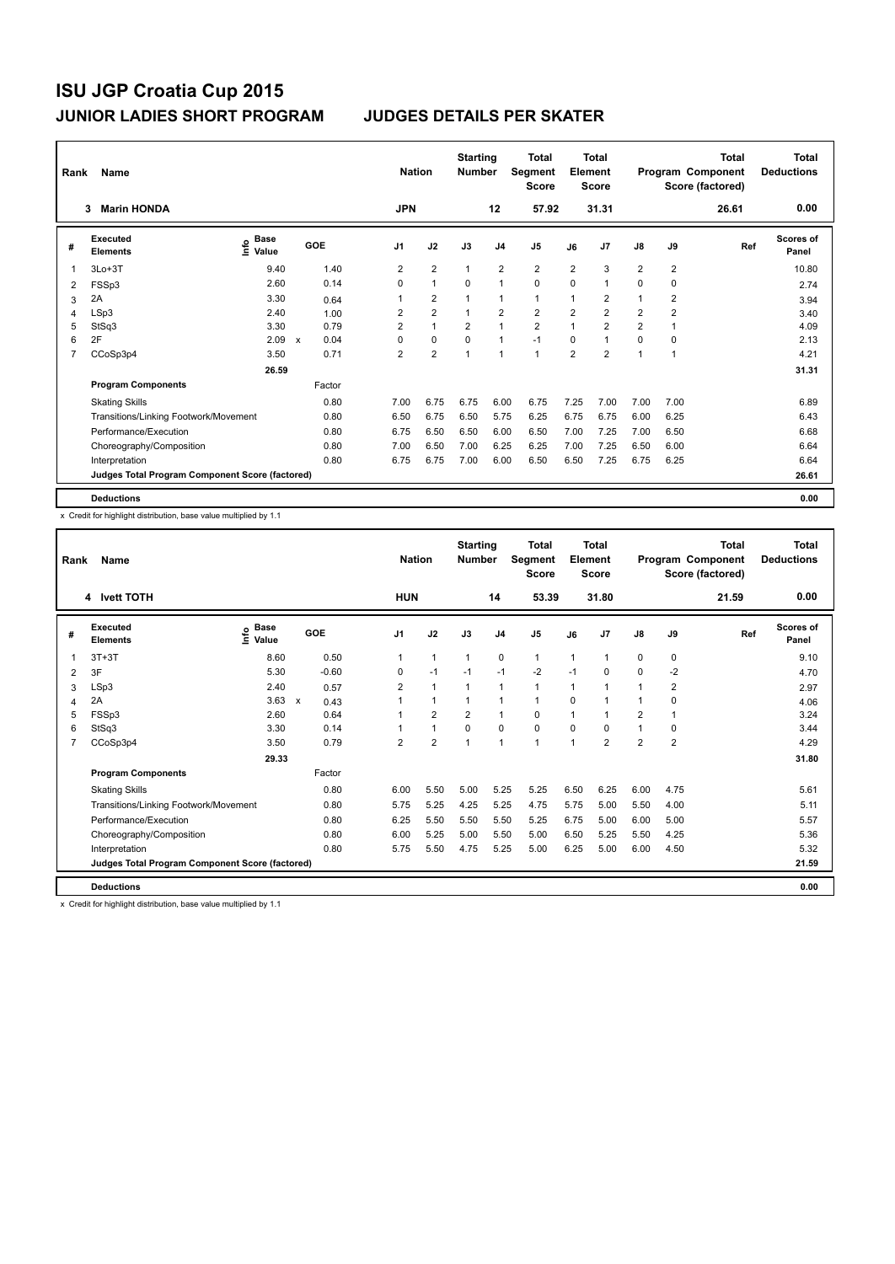| Rank           | Name                                            |                                    |     |        |                | <b>Nation</b>           | <b>Starting</b><br><b>Number</b> |                | <b>Total</b><br>Segment<br><b>Score</b> |                | <b>Total</b><br>Element<br><b>Score</b> |                |                | Total<br>Program Component<br>Score (factored) | Total<br><b>Deductions</b> |
|----------------|-------------------------------------------------|------------------------------------|-----|--------|----------------|-------------------------|----------------------------------|----------------|-----------------------------------------|----------------|-----------------------------------------|----------------|----------------|------------------------------------------------|----------------------------|
|                | <b>Marin HONDA</b><br>3                         |                                    |     |        | <b>JPN</b>     |                         |                                  | 12             | 57.92                                   |                | 31.31                                   |                |                | 26.61                                          | 0.00                       |
| #              | Executed<br><b>Elements</b>                     | <b>Base</b><br>$\frac{6}{5}$ Value | GOE |        | J <sub>1</sub> | J2                      | J3                               | J <sub>4</sub> | J <sub>5</sub>                          | J6             | J <sub>7</sub>                          | $\mathsf{J}8$  | J9             | Ref                                            | Scores of<br>Panel         |
| 1              | $3Lo+3T$                                        | 9.40                               |     | 1.40   | 2              | $\overline{2}$          | $\mathbf{1}$                     | $\overline{2}$ | $\overline{2}$                          | $\overline{2}$ | 3                                       | $\overline{2}$ | $\overline{2}$ |                                                | 10.80                      |
| 2              | FSSp3                                           | 2.60                               |     | 0.14   | $\Omega$       | $\mathbf{1}$            | $\Omega$                         | $\mathbf{1}$   | $\Omega$                                | $\Omega$       | 1                                       | 0              | 0              |                                                | 2.74                       |
| 3              | 2A                                              | 3.30                               |     | 0.64   |                | $\overline{\mathbf{c}}$ |                                  | $\mathbf 1$    | $\mathbf{1}$                            | 1              | 2                                       | 1              | 2              |                                                | 3.94                       |
| 4              | LSp3                                            | 2.40                               |     | 1.00   | 2              | $\overline{2}$          |                                  | $\overline{2}$ | $\overline{2}$                          | $\overline{2}$ | $\overline{2}$                          | $\overline{2}$ | $\overline{2}$ |                                                | 3.40                       |
| 5              | StSq3                                           | 3.30                               |     | 0.79   | $\overline{2}$ | $\mathbf{1}$            | $\overline{2}$                   | $\overline{1}$ | $\overline{2}$                          | 1              | $\overline{2}$                          | $\overline{2}$ |                |                                                | 4.09                       |
| 6              | 2F                                              | 2.09                               | X   | 0.04   | 0              | $\mathbf 0$             | 0                                | $\mathbf{1}$   | $-1$                                    | 0              | 1                                       | 0              | 0              |                                                | 2.13                       |
| $\overline{7}$ | CCoSp3p4                                        | 3.50                               |     | 0.71   | $\overline{2}$ | $\overline{2}$          | 1                                | $\mathbf{1}$   | $\mathbf{1}$                            | $\overline{2}$ | $\overline{2}$                          | 1              | 1              |                                                | 4.21                       |
|                |                                                 | 26.59                              |     |        |                |                         |                                  |                |                                         |                |                                         |                |                |                                                | 31.31                      |
|                | <b>Program Components</b>                       |                                    |     | Factor |                |                         |                                  |                |                                         |                |                                         |                |                |                                                |                            |
|                | <b>Skating Skills</b>                           |                                    |     | 0.80   | 7.00           | 6.75                    | 6.75                             | 6.00           | 6.75                                    | 7.25           | 7.00                                    | 7.00           | 7.00           |                                                | 6.89                       |
|                | Transitions/Linking Footwork/Movement           |                                    |     | 0.80   | 6.50           | 6.75                    | 6.50                             | 5.75           | 6.25                                    | 6.75           | 6.75                                    | 6.00           | 6.25           |                                                | 6.43                       |
|                | Performance/Execution                           |                                    |     | 0.80   | 6.75           | 6.50                    | 6.50                             | 6.00           | 6.50                                    | 7.00           | 7.25                                    | 7.00           | 6.50           |                                                | 6.68                       |
|                | Choreography/Composition                        |                                    |     | 0.80   | 7.00           | 6.50                    | 7.00                             | 6.25           | 6.25                                    | 7.00           | 7.25                                    | 6.50           | 6.00           |                                                | 6.64                       |
|                | Interpretation                                  |                                    |     | 0.80   | 6.75           | 6.75                    | 7.00                             | 6.00           | 6.50                                    | 6.50           | 7.25                                    | 6.75           | 6.25           |                                                | 6.64                       |
|                | Judges Total Program Component Score (factored) |                                    |     |        |                |                         |                                  |                |                                         |                |                                         |                |                |                                                | 26.61                      |
|                | <b>Deductions</b>                               |                                    |     |        |                |                         |                                  |                |                                         |                |                                         |                |                |                                                | 0.00                       |

x Credit for highlight distribution, base value multiplied by 1.1

| Rank | <b>Name</b>                                     | <b>Nation</b>                |         | <b>Starting</b><br><b>Number</b> |                | <b>Total</b><br>Segment<br><b>Score</b> |                | <b>Total</b><br>Element<br><b>Score</b> |          |                      | Total<br>Program Component<br>Score (factored) | Total<br><b>Deductions</b> |       |                           |
|------|-------------------------------------------------|------------------------------|---------|----------------------------------|----------------|-----------------------------------------|----------------|-----------------------------------------|----------|----------------------|------------------------------------------------|----------------------------|-------|---------------------------|
|      | 4 Ivett TOTH                                    |                              |         | <b>HUN</b>                       |                |                                         | 14             | 53.39                                   |          | 31.80                |                                                |                            | 21.59 | 0.00                      |
| #    | Executed<br><b>Elements</b>                     | <b>Base</b><br>lnfo<br>Value | GOE     | J <sub>1</sub>                   | J2             | J3                                      | J <sub>4</sub> | J <sub>5</sub>                          | J6       | J <sub>7</sub>       | J8                                             | J9                         | Ref   | <b>Scores of</b><br>Panel |
| 1    | $3T+3T$                                         | 8.60                         | 0.50    | $\mathbf{1}$                     | $\mathbf{1}$   | $\mathbf{1}$                            | $\mathbf 0$    | $\mathbf{1}$                            | 1        | $\mathbf{1}$         | $\mathbf 0$                                    | 0                          |       | 9.10                      |
| 2    | 3F                                              | 5.30                         | $-0.60$ | $\mathbf 0$                      | $-1$           | $-1$                                    | $-1$           | $-2$                                    | $-1$     | $\mathbf 0$          | $\mathbf 0$                                    | $-2$                       |       | 4.70                      |
| 3    | LSp3                                            | 2.40                         | 0.57    | $\overline{2}$                   | $\mathbf{1}$   | $\mathbf{1}$                            | $\overline{1}$ | $\blacktriangleleft$                    | 1        | $\mathbf{1}$         |                                                | $\overline{2}$             |       | 2.97                      |
| 4    | 2A                                              | $3.63 \times$                | 0.43    | 1                                | 1              | $\mathbf{1}$                            | $\overline{1}$ | $\mathbf{1}$                            | 0        | $\blacktriangleleft$ |                                                | 0                          |       | 4.06                      |
| 5    | FSSp3                                           | 2.60                         | 0.64    | 1                                | $\overline{2}$ | $\overline{2}$                          | $\mathbf{1}$   | $\Omega$                                | 1        | $\blacktriangleleft$ | $\overline{2}$                                 |                            |       | 3.24                      |
| 6    | StSq3                                           | 3.30                         | 0.14    |                                  | 1              | $\Omega$                                | $\mathbf 0$    | $\mathbf 0$                             | $\Omega$ | $\mathbf 0$          |                                                | 0                          |       | 3.44                      |
| 7    | CCoSp3p4                                        | 3.50                         | 0.79    | $\overline{2}$                   | $\overline{2}$ | $\overline{1}$                          | $\overline{1}$ | 1                                       | 1        | $\overline{2}$       | $\overline{2}$                                 | $\overline{2}$             |       | 4.29                      |
|      |                                                 | 29.33                        |         |                                  |                |                                         |                |                                         |          |                      |                                                |                            |       | 31.80                     |
|      | <b>Program Components</b>                       |                              | Factor  |                                  |                |                                         |                |                                         |          |                      |                                                |                            |       |                           |
|      | <b>Skating Skills</b>                           |                              | 0.80    | 6.00                             | 5.50           | 5.00                                    | 5.25           | 5.25                                    | 6.50     | 6.25                 | 6.00                                           | 4.75                       |       | 5.61                      |
|      | Transitions/Linking Footwork/Movement           |                              | 0.80    | 5.75                             | 5.25           | 4.25                                    | 5.25           | 4.75                                    | 5.75     | 5.00                 | 5.50                                           | 4.00                       |       | 5.11                      |
|      | Performance/Execution                           |                              | 0.80    | 6.25                             | 5.50           | 5.50                                    | 5.50           | 5.25                                    | 6.75     | 5.00                 | 6.00                                           | 5.00                       |       | 5.57                      |
|      | Choreography/Composition                        |                              | 0.80    | 6.00                             | 5.25           | 5.00                                    | 5.50           | 5.00                                    | 6.50     | 5.25                 | 5.50                                           | 4.25                       |       | 5.36                      |
|      | Interpretation                                  |                              | 0.80    | 5.75                             | 5.50           | 4.75                                    | 5.25           | 5.00                                    | 6.25     | 5.00                 | 6.00                                           | 4.50                       |       | 5.32                      |
|      | Judges Total Program Component Score (factored) |                              |         |                                  |                |                                         |                |                                         |          |                      |                                                |                            |       | 21.59                     |
|      | <b>Deductions</b>                               |                              |         |                                  |                |                                         |                |                                         |          |                      |                                                |                            |       | 0.00                      |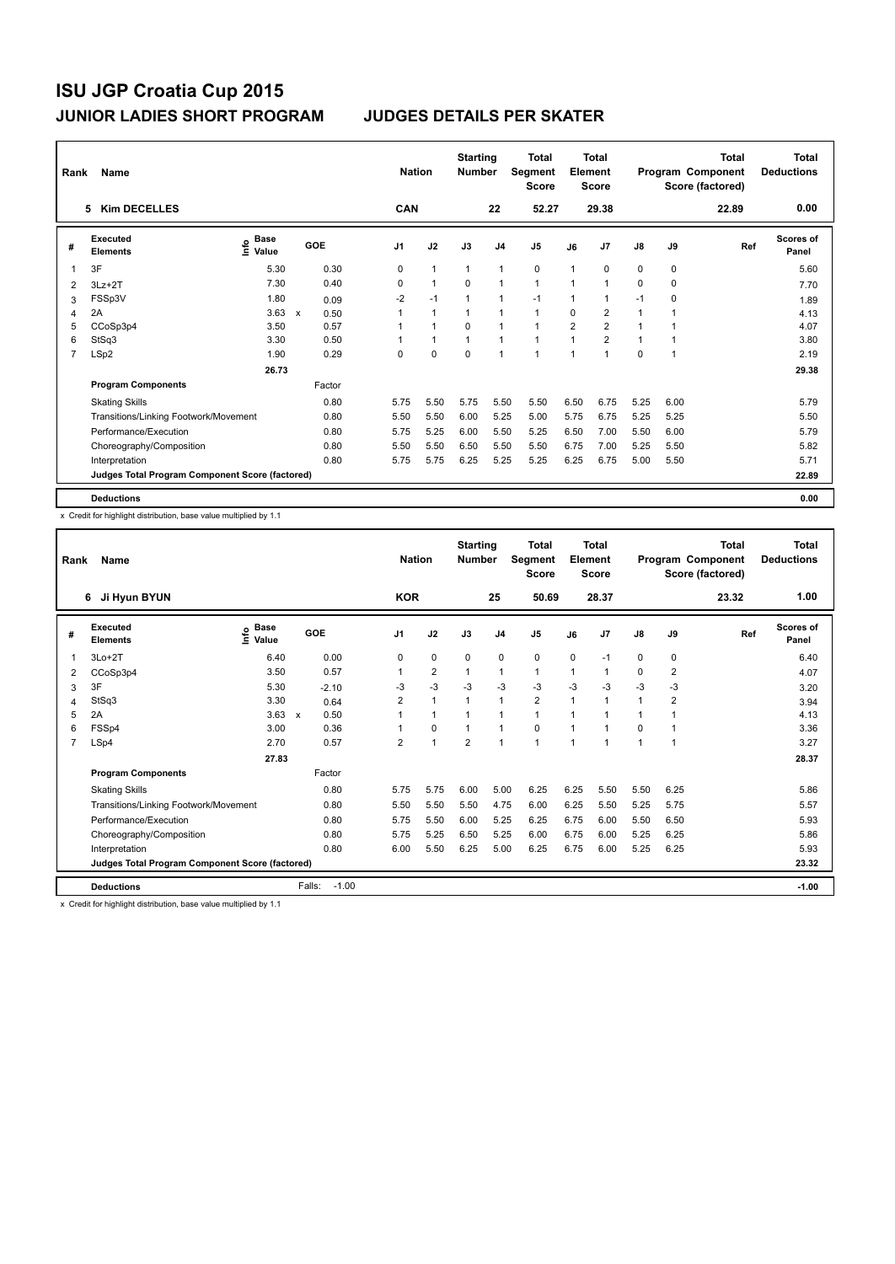| Rank           | Name<br><b>Kim DECELLES</b><br>5                |                                    |              |        |                | <b>Nation</b> |                | <b>Starting</b><br><b>Number</b> |                | <b>Total</b><br>Segment<br><b>Score</b> |                | <b>Total</b><br>Element<br><b>Score</b> |               |      | Total<br>Program Component<br>Score (factored) | Total<br><b>Deductions</b> |
|----------------|-------------------------------------------------|------------------------------------|--------------|--------|----------------|---------------|----------------|----------------------------------|----------------|-----------------------------------------|----------------|-----------------------------------------|---------------|------|------------------------------------------------|----------------------------|
|                |                                                 |                                    |              |        |                | CAN           |                |                                  | 22             | 52.27                                   |                | 29.38                                   |               |      | 22.89                                          | 0.00                       |
| #              | Executed<br><b>Elements</b>                     | <b>Base</b><br>$\frac{6}{5}$ Value |              | GOE    | J <sub>1</sub> |               | J2             | J3                               | J <sub>4</sub> | J <sub>5</sub>                          | J6             | J <sub>7</sub>                          | $\mathsf{J}8$ | J9   | Ref                                            | Scores of<br>Panel         |
| $\overline{1}$ | 3F                                              | 5.30                               |              | 0.30   | 0              |               | $\mathbf{1}$   | $\mathbf{1}$                     | $\mathbf{1}$   | 0                                       | 1              | 0                                       | 0             | 0    |                                                | 5.60                       |
| 2              | $3Lz + 2T$                                      | 7.30                               |              | 0.40   | $\Omega$       |               | $\overline{1}$ | $\Omega$                         | $\mathbf{1}$   | $\mathbf{1}$                            | 1              | 1                                       | 0             | 0    |                                                | 7.70                       |
| 3              | FSSp3V                                          | 1.80                               |              | 0.09   | $-2$           |               | $-1$           |                                  | $\mathbf 1$    | $-1$                                    | 1              | 1                                       | $-1$          | 0    |                                                | 1.89                       |
| 4              | 2A                                              | 3.63                               | $\mathbf{x}$ | 0.50   |                |               | $\mathbf{1}$   |                                  | $\mathbf{1}$   | $\mathbf{1}$                            | $\Omega$       | $\overline{2}$                          | 1             |      |                                                | 4.13                       |
| 5              | CCoSp3p4                                        | 3.50                               |              | 0.57   |                |               | $\mathbf{1}$   | $\Omega$                         | $\overline{1}$ | $\mathbf{1}$                            | $\overline{2}$ | $\overline{2}$                          | $\mathbf 1$   |      |                                                | 4.07                       |
| 6              | StSq3                                           | 3.30                               |              | 0.50   |                |               | $\mathbf{1}$   | 1                                | $\mathbf{1}$   | $\mathbf{1}$                            | 1              | $\overline{2}$                          | 1             |      |                                                | 3.80                       |
| $\overline{7}$ | LSp2                                            | 1.90                               |              | 0.29   | 0              |               | $\mathbf 0$    | $\mathbf 0$                      | $\overline{1}$ | $\overline{1}$                          | $\overline{1}$ | $\overline{1}$                          | 0             | 1    |                                                | 2.19                       |
|                |                                                 | 26.73                              |              |        |                |               |                |                                  |                |                                         |                |                                         |               |      |                                                | 29.38                      |
|                | <b>Program Components</b>                       |                                    |              | Factor |                |               |                |                                  |                |                                         |                |                                         |               |      |                                                |                            |
|                | <b>Skating Skills</b>                           |                                    |              | 0.80   | 5.75           |               | 5.50           | 5.75                             | 5.50           | 5.50                                    | 6.50           | 6.75                                    | 5.25          | 6.00 |                                                | 5.79                       |
|                | Transitions/Linking Footwork/Movement           |                                    |              | 0.80   | 5.50           |               | 5.50           | 6.00                             | 5.25           | 5.00                                    | 5.75           | 6.75                                    | 5.25          | 5.25 |                                                | 5.50                       |
|                | Performance/Execution                           |                                    |              | 0.80   | 5.75           |               | 5.25           | 6.00                             | 5.50           | 5.25                                    | 6.50           | 7.00                                    | 5.50          | 6.00 |                                                | 5.79                       |
|                | Choreography/Composition                        |                                    |              | 0.80   | 5.50           |               | 5.50           | 6.50                             | 5.50           | 5.50                                    | 6.75           | 7.00                                    | 5.25          | 5.50 |                                                | 5.82                       |
|                | Interpretation                                  |                                    |              | 0.80   | 5.75           |               | 5.75           | 6.25                             | 5.25           | 5.25                                    | 6.25           | 6.75                                    | 5.00          | 5.50 |                                                | 5.71                       |
|                | Judges Total Program Component Score (factored) |                                    |              |        |                |               |                |                                  |                |                                         |                |                                         |               |      |                                                | 22.89                      |
|                | <b>Deductions</b>                               |                                    |              |        |                |               |                |                                  |                |                                         |                |                                         |               |      |                                                | 0.00                       |

x Credit for highlight distribution, base value multiplied by 1.1

| Rank           | <b>Name</b><br>Ji Hyun BYUN<br>6                |                    |                   | <b>Nation</b>  |                | <b>Starting</b><br><b>Number</b> |                | <b>Total</b><br>Segment<br><b>Score</b> |                         | Total<br>Element<br><b>Score</b> |      |                | <b>Total</b><br>Program Component<br>Score (factored) | <b>Total</b><br><b>Deductions</b> |
|----------------|-------------------------------------------------|--------------------|-------------------|----------------|----------------|----------------------------------|----------------|-----------------------------------------|-------------------------|----------------------------------|------|----------------|-------------------------------------------------------|-----------------------------------|
|                |                                                 |                    |                   | <b>KOR</b>     |                |                                  | 25             | 50.69                                   |                         | 28.37                            |      |                | 23.32                                                 | 1.00                              |
| #              | <b>Executed</b><br><b>Elements</b>              | $\frac{e}{E}$ Base | GOE               | J <sub>1</sub> | J2             | J3                               | J <sub>4</sub> | J5                                      | J6                      | J <sub>7</sub>                   | J8   | J9             | Ref                                                   | <b>Scores of</b><br>Panel         |
| 1              | $3Lo+2T$                                        | 6.40               | 0.00              | 0              | 0              | $\mathbf 0$                      | $\mathbf 0$    | 0                                       | $\mathbf 0$             | $-1$                             | 0    | 0              |                                                       | 6.40                              |
| 2              | CCoSp3p4                                        | 3.50               | 0.57              | 1              | $\overline{2}$ | $\mathbf{1}$                     | $\mathbf{1}$   | $\mathbf{1}$                            | $\overline{\mathbf{1}}$ | 1                                | 0    | $\overline{2}$ |                                                       | 4.07                              |
| 3              | 3F                                              | 5.30               | $-2.10$           | -3             | $-3$           | $-3$                             | $-3$           | $-3$                                    | $-3$                    | -3                               | $-3$ | -3             |                                                       | 3.20                              |
| 4              | StSq3                                           | 3.30               | 0.64              | 2              | $\overline{1}$ | 1                                | $\mathbf{1}$   | $\overline{2}$                          | 1                       | 1                                | 1    | $\overline{2}$ |                                                       | 3.94                              |
| 5              | 2A                                              | $3.63 \times$      | 0.50              | 1              | $\mathbf{1}$   | 1                                | $\mathbf{1}$   | $\mathbf{1}$                            | 1                       | -1                               | 1    | 1              |                                                       | 4.13                              |
| 6              | FSSp4                                           | 3.00               | 0.36              |                | $\Omega$       | 1                                | $\mathbf{1}$   | 0                                       | 1                       | -1                               | 0    |                |                                                       | 3.36                              |
| $\overline{7}$ | LSp4                                            | 2.70               | 0.57              | $\overline{2}$ | 1              | $\overline{2}$                   | $\mathbf{1}$   | $\mathbf{1}$                            | 1                       | -1                               | 1    | 1              |                                                       | 3.27                              |
|                |                                                 | 27.83              |                   |                |                |                                  |                |                                         |                         |                                  |      |                |                                                       | 28.37                             |
|                | <b>Program Components</b>                       |                    | Factor            |                |                |                                  |                |                                         |                         |                                  |      |                |                                                       |                                   |
|                | <b>Skating Skills</b>                           |                    | 0.80              | 5.75           | 5.75           | 6.00                             | 5.00           | 6.25                                    | 6.25                    | 5.50                             | 5.50 | 6.25           |                                                       | 5.86                              |
|                | Transitions/Linking Footwork/Movement           |                    | 0.80              | 5.50           | 5.50           | 5.50                             | 4.75           | 6.00                                    | 6.25                    | 5.50                             | 5.25 | 5.75           |                                                       | 5.57                              |
|                | Performance/Execution                           |                    | 0.80              | 5.75           | 5.50           | 6.00                             | 5.25           | 6.25                                    | 6.75                    | 6.00                             | 5.50 | 6.50           |                                                       | 5.93                              |
|                | Choreography/Composition                        |                    | 0.80              | 5.75           | 5.25           | 6.50                             | 5.25           | 6.00                                    | 6.75                    | 6.00                             | 5.25 | 6.25           |                                                       | 5.86                              |
|                | Interpretation                                  |                    | 0.80              | 6.00           | 5.50           | 6.25                             | 5.00           | 6.25                                    | 6.75                    | 6.00                             | 5.25 | 6.25           |                                                       | 5.93                              |
|                | Judges Total Program Component Score (factored) |                    |                   |                |                |                                  |                |                                         |                         |                                  |      |                |                                                       | 23.32                             |
|                | <b>Deductions</b>                               |                    | Falls:<br>$-1.00$ |                |                |                                  |                |                                         |                         |                                  |      |                |                                                       | $-1.00$                           |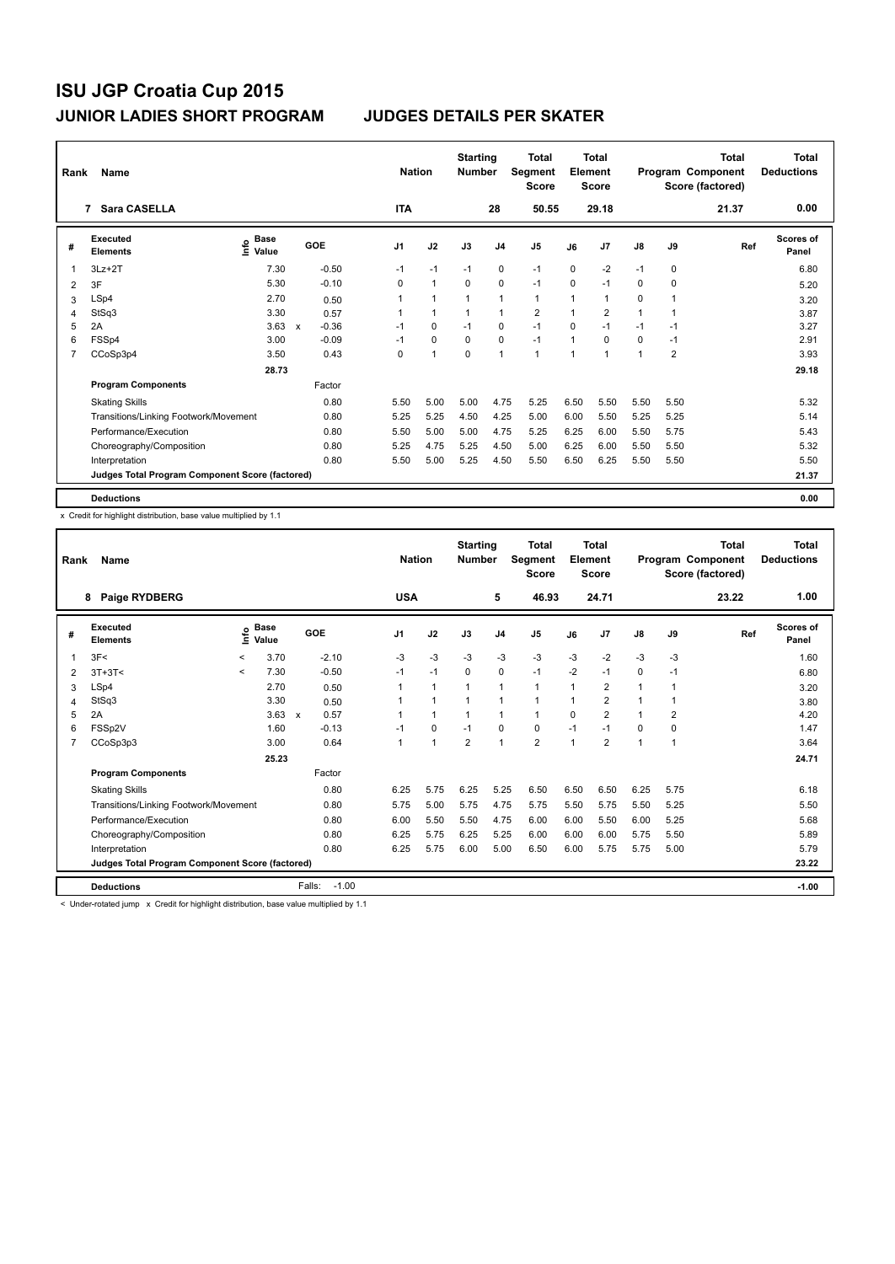| Rank           | Name<br>Sara CASELLA<br>7                       |                                    |              |         |                | <b>Nation</b>  | <b>Starting</b><br><b>Number</b> |                | <b>Total</b><br>Segment<br><b>Score</b> |                | <b>Total</b><br>Element<br><b>Score</b> |               |                | Total<br>Program Component<br>Score (factored) | Total<br><b>Deductions</b> |
|----------------|-------------------------------------------------|------------------------------------|--------------|---------|----------------|----------------|----------------------------------|----------------|-----------------------------------------|----------------|-----------------------------------------|---------------|----------------|------------------------------------------------|----------------------------|
|                |                                                 |                                    |              |         | <b>ITA</b>     |                |                                  | 28             | 50.55                                   |                | 29.18                                   |               |                | 21.37                                          | 0.00                       |
| #              | Executed<br><b>Elements</b>                     | <b>Base</b><br>$\frac{6}{5}$ Value | GOE          |         | J <sub>1</sub> | J2             | J3                               | J <sub>4</sub> | J <sub>5</sub>                          | J6             | J <sub>7</sub>                          | $\mathsf{J}8$ | J9             | Ref                                            | Scores of<br>Panel         |
| $\overline{1}$ | $3Lz + 2T$                                      | 7.30                               |              | $-0.50$ | $-1$           | $-1$           | $-1$                             | 0              | $-1$                                    | 0              | $-2$                                    | $-1$          | 0              |                                                | 6.80                       |
| 2              | 3F                                              | 5.30                               |              | $-0.10$ | $\Omega$       | $\mathbf{1}$   | $\Omega$                         | $\mathbf 0$    | $-1$                                    | $\Omega$       | $-1$                                    | 0             | 0              |                                                | 5.20                       |
| 3              | LSp4                                            | 2.70                               |              | 0.50    |                | 1              |                                  | 1              | $\mathbf{1}$                            | 1              | 1                                       | 0             |                |                                                | 3.20                       |
| 4              | StSq3                                           | 3.30                               |              | 0.57    |                | $\mathbf{1}$   |                                  | $\mathbf{1}$   | $\overline{2}$                          | 1              | $\overline{2}$                          | 1             |                |                                                | 3.87                       |
| 5              | 2A                                              | 3.63                               | $\mathsf{x}$ | $-0.36$ | $-1$           | $\mathbf 0$    | $-1$                             | $\mathbf 0$    | $-1$                                    | $\Omega$       | $-1$                                    | $-1$          | $-1$           |                                                | 3.27                       |
| 6              | FSSp4                                           | 3.00                               |              | $-0.09$ | $-1$           | $\mathbf 0$    | 0                                | $\mathbf 0$    | $-1$                                    | 1              | 0                                       | 0             | $-1$           |                                                | 2.91                       |
| $\overline{7}$ | CCoSp3p4                                        | 3.50                               |              | 0.43    | 0              | $\overline{1}$ | $\mathbf 0$                      | $\mathbf{1}$   | $\mathbf{1}$                            | $\overline{1}$ | 1                                       | 1             | $\overline{2}$ |                                                | 3.93                       |
|                |                                                 | 28.73                              |              |         |                |                |                                  |                |                                         |                |                                         |               |                |                                                | 29.18                      |
|                | <b>Program Components</b>                       |                                    |              | Factor  |                |                |                                  |                |                                         |                |                                         |               |                |                                                |                            |
|                | <b>Skating Skills</b>                           |                                    |              | 0.80    | 5.50           | 5.00           | 5.00                             | 4.75           | 5.25                                    | 6.50           | 5.50                                    | 5.50          | 5.50           |                                                | 5.32                       |
|                | Transitions/Linking Footwork/Movement           |                                    |              | 0.80    | 5.25           | 5.25           | 4.50                             | 4.25           | 5.00                                    | 6.00           | 5.50                                    | 5.25          | 5.25           |                                                | 5.14                       |
|                | Performance/Execution                           |                                    |              | 0.80    | 5.50           | 5.00           | 5.00                             | 4.75           | 5.25                                    | 6.25           | 6.00                                    | 5.50          | 5.75           |                                                | 5.43                       |
|                | Choreography/Composition                        |                                    |              | 0.80    | 5.25           | 4.75           | 5.25                             | 4.50           | 5.00                                    | 6.25           | 6.00                                    | 5.50          | 5.50           |                                                | 5.32                       |
|                | Interpretation                                  |                                    |              | 0.80    | 5.50           | 5.00           | 5.25                             | 4.50           | 5.50                                    | 6.50           | 6.25                                    | 5.50          | 5.50           |                                                | 5.50                       |
|                | Judges Total Program Component Score (factored) |                                    |              |         |                |                |                                  |                |                                         |                |                                         |               |                |                                                | 21.37                      |
|                | <b>Deductions</b>                               |                                    |              |         |                |                |                                  |                |                                         |                |                                         |               |                |                                                | 0.00                       |

x Credit for highlight distribution, base value multiplied by 1.1

| Rank | Name                                            |              |                      |                   | <b>Nation</b> |                      | <b>Starting</b><br><b>Number</b> |                | <b>Total</b><br>Segment<br><b>Score</b> |              | <b>Total</b><br>Element<br><b>Score</b> |                |                | <b>Total</b><br>Program Component<br>Score (factored) | <b>Total</b><br><b>Deductions</b> |
|------|-------------------------------------------------|--------------|----------------------|-------------------|---------------|----------------------|----------------------------------|----------------|-----------------------------------------|--------------|-----------------------------------------|----------------|----------------|-------------------------------------------------------|-----------------------------------|
|      | Paige RYDBERG<br>8                              |              |                      |                   | <b>USA</b>    |                      |                                  | 5              | 46.93                                   |              | 24.71                                   |                |                | 23.22                                                 | 1.00                              |
| #    | Executed<br><b>Elements</b>                     | ۴ô           | <b>Base</b><br>Value | GOE               | J1            | J2                   | J3                               | J <sub>4</sub> | J <sub>5</sub>                          | J6           | J <sub>7</sub>                          | J8             | J9             | Ref                                                   | <b>Scores of</b><br>Panel         |
| 1    | 3F<                                             | $\,<\,$      | 3.70                 | $-2.10$           | $-3$          | $-3$                 | $-3$                             | $-3$           | $-3$                                    | $-3$         | $-2$                                    | $-3$           | $-3$           |                                                       | 1.60                              |
| 2    | $3T+3T<$                                        | $\checkmark$ | 7.30                 | $-0.50$           | $-1$          | $-1$                 | $\mathbf 0$                      | 0              | $-1$                                    | $-2$         | $-1$                                    | 0              | $-1$           |                                                       | 6.80                              |
| 3    | LSp4                                            |              | 2.70                 | 0.50              |               | $\mathbf{1}$         | 1                                | 1              | 1                                       | $\mathbf 1$  | $\overline{\mathbf{c}}$                 | $\overline{1}$ | 1              |                                                       | 3.20                              |
| 4    | StSq3                                           |              | 3.30                 | 0.50              |               | 1                    | 1                                | 1              | 1                                       | 1            | 2                                       | 1              | 1              |                                                       | 3.80                              |
| 5    | 2A                                              |              | $3.63 \times$        | 0.57              |               | $\blacktriangleleft$ | 1                                | 1              | 1                                       | $\Omega$     | $\overline{2}$                          | $\mathbf{1}$   | $\overline{2}$ |                                                       | 4.20                              |
| 6    | FSSp2V                                          |              | 1.60                 | $-0.13$           | $-1$          | 0                    | $-1$                             | $\Omega$       | 0                                       | $-1$         | $-1$                                    | 0              | $\Omega$       |                                                       | 1.47                              |
|      | CCoSp3p3                                        |              | 3.00                 | 0.64              |               | $\blacktriangleleft$ | $\overline{2}$                   | $\overline{1}$ | $\overline{2}$                          | $\mathbf{1}$ | $\overline{2}$                          | $\mathbf{1}$   | $\overline{1}$ |                                                       | 3.64                              |
|      |                                                 |              | 25.23                |                   |               |                      |                                  |                |                                         |              |                                         |                |                |                                                       | 24.71                             |
|      | <b>Program Components</b>                       |              |                      | Factor            |               |                      |                                  |                |                                         |              |                                         |                |                |                                                       |                                   |
|      | <b>Skating Skills</b>                           |              |                      | 0.80              | 6.25          | 5.75                 | 6.25                             | 5.25           | 6.50                                    | 6.50         | 6.50                                    | 6.25           | 5.75           |                                                       | 6.18                              |
|      | Transitions/Linking Footwork/Movement           |              |                      | 0.80              | 5.75          | 5.00                 | 5.75                             | 4.75           | 5.75                                    | 5.50         | 5.75                                    | 5.50           | 5.25           |                                                       | 5.50                              |
|      | Performance/Execution                           |              |                      | 0.80              | 6.00          | 5.50                 | 5.50                             | 4.75           | 6.00                                    | 6.00         | 5.50                                    | 6.00           | 5.25           |                                                       | 5.68                              |
|      | Choreography/Composition                        |              |                      | 0.80              | 6.25          | 5.75                 | 6.25                             | 5.25           | 6.00                                    | 6.00         | 6.00                                    | 5.75           | 5.50           |                                                       | 5.89                              |
|      | Interpretation                                  |              |                      | 0.80              | 6.25          | 5.75                 | 6.00                             | 5.00           | 6.50                                    | 6.00         | 5.75                                    | 5.75           | 5.00           |                                                       | 5.79                              |
|      | Judges Total Program Component Score (factored) |              |                      |                   |               |                      |                                  |                |                                         |              |                                         |                |                |                                                       | 23.22                             |
|      | <b>Deductions</b>                               |              |                      | Falls:<br>$-1.00$ |               |                      |                                  |                |                                         |              |                                         |                |                |                                                       | $-1.00$                           |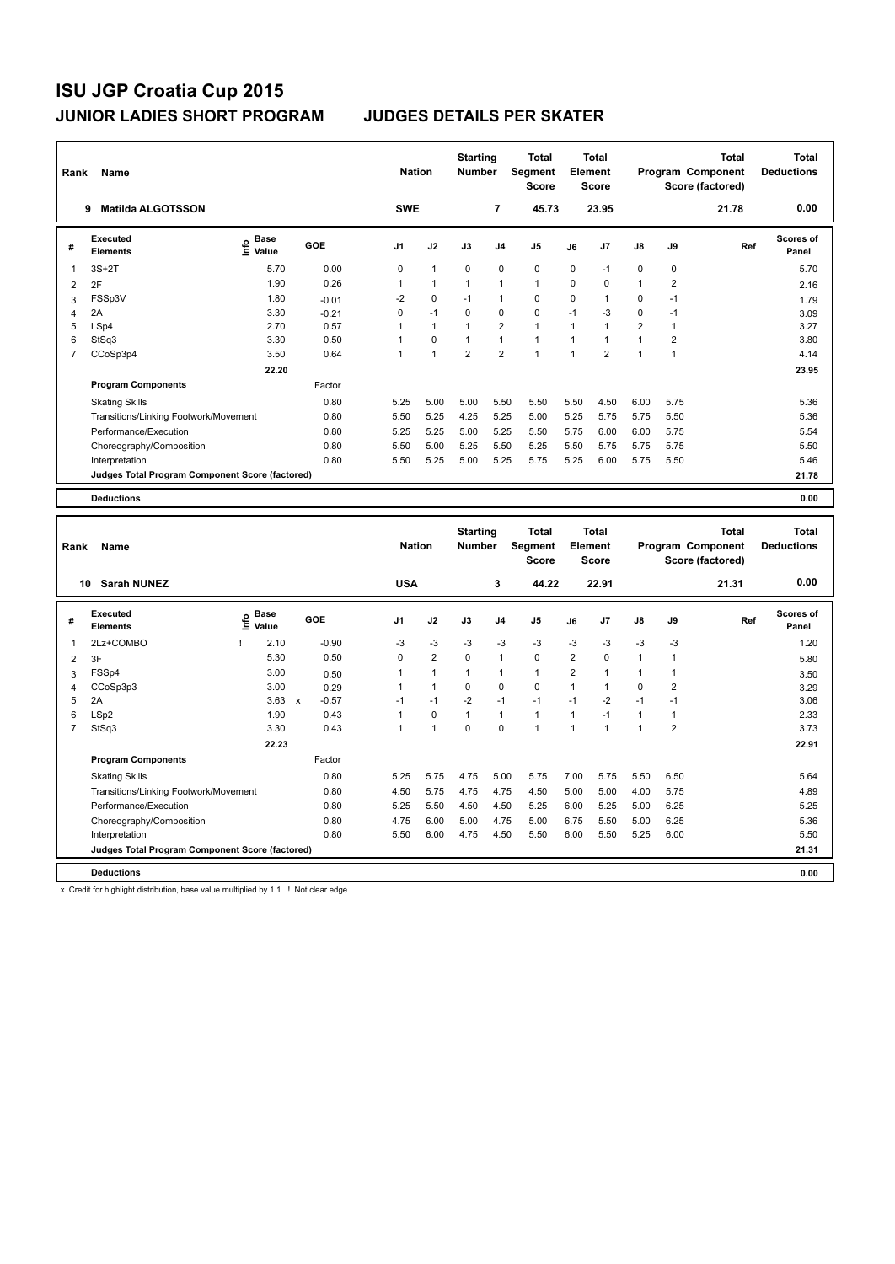| Rank           | <b>Name</b>                                     |                                    |         | <b>Nation</b>  |              | <b>Starting</b><br><b>Number</b> |                | <b>Total</b><br><b>Segment</b><br><b>Score</b> |                | <b>Total</b><br>Element<br><b>Score</b> |                |                         | <b>Total</b><br>Program Component<br>Score (factored) | Total<br><b>Deductions</b> |
|----------------|-------------------------------------------------|------------------------------------|---------|----------------|--------------|----------------------------------|----------------|------------------------------------------------|----------------|-----------------------------------------|----------------|-------------------------|-------------------------------------------------------|----------------------------|
|                | <b>Matilda ALGOTSSON</b><br>9                   |                                    |         | <b>SWE</b>     |              |                                  | $\overline{7}$ | 45.73                                          |                | 23.95                                   |                |                         | 21.78                                                 | 0.00                       |
| #              | Executed<br><b>Elements</b>                     | <b>Base</b><br>$\frac{6}{5}$ Value | GOE     | J <sub>1</sub> | J2           | J3                               | J <sub>4</sub> | J <sub>5</sub>                                 | J6             | J7                                      | $\mathsf{J}8$  | J9                      | Ref                                                   | Scores of<br>Panel         |
| $\overline{1}$ | $3S+2T$                                         | 5.70                               | 0.00    | 0              | $\mathbf{1}$ | $\mathbf 0$                      | $\mathbf 0$    | 0                                              | 0              | $-1$                                    | 0              | 0                       |                                                       | 5.70                       |
| 2              | 2F                                              | 1.90                               | 0.26    | 1              | $\mathbf{1}$ | $\mathbf{1}$                     | $\mathbf{1}$   | $\mathbf{1}$                                   | 0              | 0                                       | $\mathbf{1}$   | $\overline{\mathbf{c}}$ |                                                       | 2.16                       |
| 3              | FSSp3V                                          | 1.80                               | $-0.01$ | $-2$           | $\mathbf 0$  | $-1$                             | $\mathbf{1}$   | $\mathbf 0$                                    | 0              | $\mathbf{1}$                            | 0              | $-1$                    |                                                       | 1.79                       |
| 4              | 2A                                              | 3.30                               | $-0.21$ | 0              | $-1$         | $\Omega$                         | $\mathbf 0$    | $\mathbf 0$                                    | $-1$           | $-3$                                    | 0              | $-1$                    |                                                       | 3.09                       |
| 5              | LSp4                                            | 2.70                               | 0.57    | 1              | $\mathbf{1}$ | $\mathbf{1}$                     | $\overline{2}$ | $\mathbf{1}$                                   | $\overline{1}$ | 1                                       | $\overline{2}$ | 1                       |                                                       | 3.27                       |
| 6              | StSq3                                           | 3.30                               | 0.50    | 1              | $\mathbf 0$  | $\mathbf{1}$                     | $\mathbf{1}$   | $\mathbf{1}$                                   | $\mathbf{1}$   | $\overline{1}$                          | $\mathbf{1}$   | $\overline{2}$          |                                                       | 3.80                       |
| $\overline{7}$ | CCoSp3p4                                        | 3.50                               | 0.64    | 1              | 1            | $\overline{2}$                   | $\overline{2}$ | $\blacktriangleleft$                           | $\overline{1}$ | $\overline{2}$                          | 1              | 1                       |                                                       | 4.14                       |
|                |                                                 | 22.20                              |         |                |              |                                  |                |                                                |                |                                         |                |                         |                                                       | 23.95                      |
|                | <b>Program Components</b>                       |                                    | Factor  |                |              |                                  |                |                                                |                |                                         |                |                         |                                                       |                            |
|                | <b>Skating Skills</b>                           |                                    | 0.80    | 5.25           | 5.00         | 5.00                             | 5.50           | 5.50                                           | 5.50           | 4.50                                    | 6.00           | 5.75                    |                                                       | 5.36                       |
|                | Transitions/Linking Footwork/Movement           |                                    | 0.80    | 5.50           | 5.25         | 4.25                             | 5.25           | 5.00                                           | 5.25           | 5.75                                    | 5.75           | 5.50                    |                                                       | 5.36                       |
|                | Performance/Execution                           |                                    | 0.80    | 5.25           | 5.25         | 5.00                             | 5.25           | 5.50                                           | 5.75           | 6.00                                    | 6.00           | 5.75                    |                                                       | 5.54                       |
|                | Choreography/Composition                        |                                    | 0.80    | 5.50           | 5.00         | 5.25                             | 5.50           | 5.25                                           | 5.50           | 5.75                                    | 5.75           | 5.75                    |                                                       | 5.50                       |
|                | Interpretation                                  |                                    | 0.80    | 5.50           | 5.25         | 5.00                             | 5.25           | 5.75                                           | 5.25           | 6.00                                    | 5.75           | 5.50                    |                                                       | 5.46                       |
|                | Judges Total Program Component Score (factored) |                                    |         |                |              |                                  |                |                                                |                |                                         |                |                         |                                                       | 21.78                      |
|                | <b>Deductions</b>                               |                                    |         |                |              |                                  |                |                                                |                |                                         |                |                         |                                                       | 0.00                       |
|                |                                                 |                                    |         |                |              | <b>Starting</b>                  |                | Total                                          |                | <b>Total</b>                            |                |                         | <b>Total</b>                                          | <b>Total</b>               |

| Rank        | Name                                            |      |                      |              |                | <b>Nation</b>  | <b>Starting</b><br><b>Number</b> |                | Total<br>Segment<br><b>Score</b> |                | Total<br>Element<br><b>Score</b> |                      |      | Total<br>Program Component<br>Score (factored) | Total<br><b>Deductions</b> |
|-------------|-------------------------------------------------|------|----------------------|--------------|----------------|----------------|----------------------------------|----------------|----------------------------------|----------------|----------------------------------|----------------------|------|------------------------------------------------|----------------------------|
|             | <b>Sarah NUNEZ</b><br>10                        |      |                      |              | <b>USA</b>     |                |                                  | 3              | 44.22                            |                | 22.91                            |                      |      | 21.31                                          | 0.00                       |
| #           | Executed<br><b>Elements</b>                     | lnfo | <b>Base</b><br>Value | GOE          | J <sub>1</sub> | J2             | J3                               | J <sub>4</sub> | J <sub>5</sub>                   | J6             | J7                               | $\mathsf{J}8$        | J9   | Ref                                            | <b>Scores of</b><br>Panel  |
| $\mathbf 1$ | 2Lz+COMBO                                       |      | 2.10                 | $-0.90$      | $-3$           | $-3$           | $-3$                             | $-3$           | $-3$                             | $-3$           | $-3$                             | $-3$                 | $-3$ |                                                | 1.20                       |
| 2           | 3F                                              |      | 5.30                 | 0.50         | 0              | $\overline{2}$ | $\mathbf 0$                      | $\overline{1}$ | $\mathbf 0$                      | $\overline{2}$ | 0                                | $\mathbf{1}$         | 1    |                                                | 5.80                       |
| 3           | FSSp4                                           |      | 3.00                 | 0.50         | 1              | $\overline{1}$ | 1                                | $\overline{1}$ | $\mathbf{1}$                     | $\overline{2}$ |                                  | $\mathbf{1}$         | 1    |                                                | 3.50                       |
| 4           | CCoSp3p3                                        |      | 3.00                 | 0.29         | 1              | $\mathbf{1}$   | 0                                | 0              | 0                                | $\mathbf{1}$   |                                  | 0                    | 2    |                                                | 3.29                       |
| 5           | 2A                                              |      | 3.63                 | $-0.57$<br>X | $-1$           | $-1$           | $-2$                             | $-1$           | $-1$                             | $-1$           | $-2$                             | $-1$                 | $-1$ |                                                | 3.06                       |
| 6           | LSp2                                            |      | 1.90                 | 0.43         | 1              | 0              | 1                                | $\overline{1}$ | $\mathbf{1}$                     | $\mathbf{1}$   | $-1$                             | $\mathbf{1}$         | 1    |                                                | 2.33                       |
| 7           | StSq3                                           |      | 3.30                 | 0.43         | 1              | 1              | 0                                | 0              | 1                                | 1              |                                  | $\blacktriangleleft$ | 2    |                                                | 3.73                       |
|             |                                                 |      | 22.23                |              |                |                |                                  |                |                                  |                |                                  |                      |      |                                                | 22.91                      |
|             | <b>Program Components</b>                       |      |                      | Factor       |                |                |                                  |                |                                  |                |                                  |                      |      |                                                |                            |
|             | <b>Skating Skills</b>                           |      |                      | 0.80         | 5.25           | 5.75           | 4.75                             | 5.00           | 5.75                             | 7.00           | 5.75                             | 5.50                 | 6.50 |                                                | 5.64                       |
|             | Transitions/Linking Footwork/Movement           |      |                      | 0.80         | 4.50           | 5.75           | 4.75                             | 4.75           | 4.50                             | 5.00           | 5.00                             | 4.00                 | 5.75 |                                                | 4.89                       |
|             | Performance/Execution                           |      |                      | 0.80         | 5.25           | 5.50           | 4.50                             | 4.50           | 5.25                             | 6.00           | 5.25                             | 5.00                 | 6.25 |                                                | 5.25                       |
|             | Choreography/Composition                        |      |                      | 0.80         | 4.75           | 6.00           | 5.00                             | 4.75           | 5.00                             | 6.75           | 5.50                             | 5.00                 | 6.25 |                                                | 5.36                       |
|             | Interpretation                                  |      |                      | 0.80         | 5.50           | 6.00           | 4.75                             | 4.50           | 5.50                             | 6.00           | 5.50                             | 5.25                 | 6.00 |                                                | 5.50                       |
|             | Judges Total Program Component Score (factored) |      |                      |              |                |                |                                  |                |                                  |                |                                  |                      |      |                                                | 21.31                      |
|             | <b>Deductions</b>                               |      |                      |              |                |                |                                  |                |                                  |                |                                  |                      |      |                                                | 0.00                       |

x Credit for highlight distribution, base value multiplied by 1.1 ! Not clear edge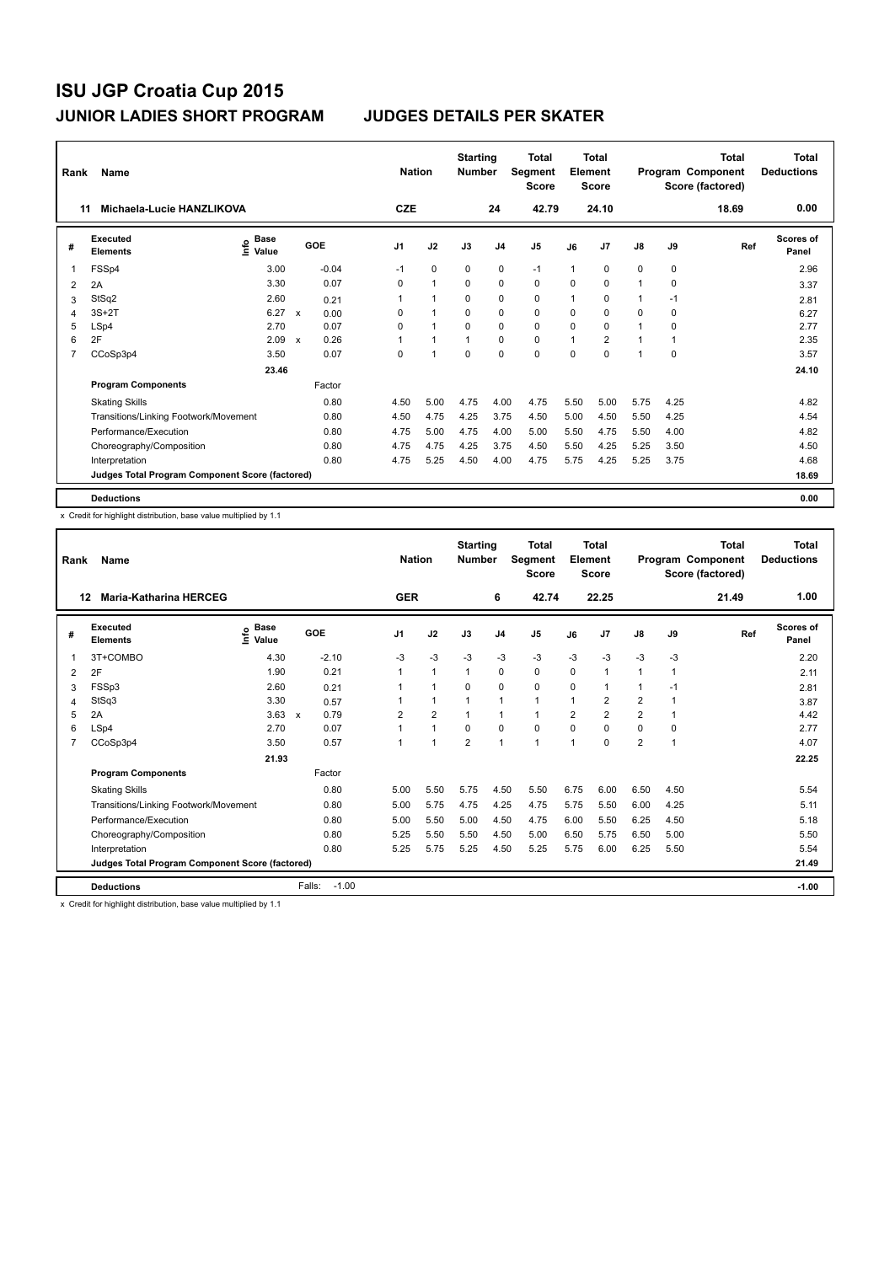| Rank           | Name                                            |                                    |                           |         |                | <b>Nation</b>  | <b>Starting</b><br><b>Number</b> |                | Total<br>Segment<br><b>Score</b> |          | <b>Total</b><br>Element<br><b>Score</b> |               |      | <b>Total</b><br>Program Component<br>Score (factored) | <b>Total</b><br><b>Deductions</b> |
|----------------|-------------------------------------------------|------------------------------------|---------------------------|---------|----------------|----------------|----------------------------------|----------------|----------------------------------|----------|-----------------------------------------|---------------|------|-------------------------------------------------------|-----------------------------------|
| 11             | Michaela-Lucie HANZLIKOVA                       |                                    |                           |         | <b>CZE</b>     |                |                                  | 24             | 42.79                            |          | 24.10                                   |               |      | 18.69                                                 | 0.00                              |
| #              | Executed<br><b>Elements</b>                     | <b>Base</b><br>$\frac{6}{5}$ Value |                           | GOE     | J <sub>1</sub> | J2             | J3                               | J <sub>4</sub> | J <sub>5</sub>                   | J6       | J7                                      | $\mathsf{J}8$ | J9   | Ref                                                   | Scores of<br>Panel                |
| $\mathbf 1$    | FSSp4                                           | 3.00                               |                           | $-0.04$ | $-1$           | 0              | 0                                | 0              | $-1$                             | 1        | 0                                       | 0             | 0    |                                                       | 2.96                              |
| 2              | 2A                                              | 3.30                               |                           | 0.07    | $\Omega$       | $\mathbf{1}$   | $\Omega$                         | $\mathbf 0$    | $\mathbf 0$                      | 0        | 0                                       | 1             | 0    |                                                       | 3.37                              |
| 3              | StSq2                                           | 2.60                               |                           | 0.21    |                | 1              | 0                                | 0              | 0                                | 1        | 0                                       | 1             | -1   |                                                       | 2.81                              |
| 4              | $3S+2T$                                         | 6.27                               | $\mathbf{x}$              | 0.00    | 0              | $\overline{1}$ | $\mathbf 0$                      | $\mathbf 0$    | $\mathbf 0$                      | $\Omega$ | 0                                       | 0             | 0    |                                                       | 6.27                              |
| 5              | LSp4                                            | 2.70                               |                           | 0.07    | $\Omega$       | 1              | $\Omega$                         | $\Omega$       | $\Omega$                         | $\Omega$ | 0                                       | $\mathbf 1$   | 0    |                                                       | 2.77                              |
| 6              | 2F                                              | 2.09                               | $\boldsymbol{\mathsf{x}}$ | 0.26    |                | $\overline{1}$ |                                  | $\mathbf 0$    | $\mathbf 0$                      | 1        | $\overline{2}$                          | $\mathbf 1$   | 1    |                                                       | 2.35                              |
| $\overline{7}$ | CCoSp3p4                                        | 3.50                               |                           | 0.07    | 0              | 1              | $\mathbf 0$                      | $\mathbf 0$    | $\mathbf 0$                      | $\Omega$ | 0                                       | 1             | 0    |                                                       | 3.57                              |
|                |                                                 | 23.46                              |                           |         |                |                |                                  |                |                                  |          |                                         |               |      |                                                       | 24.10                             |
|                | <b>Program Components</b>                       |                                    |                           | Factor  |                |                |                                  |                |                                  |          |                                         |               |      |                                                       |                                   |
|                | <b>Skating Skills</b>                           |                                    |                           | 0.80    | 4.50           | 5.00           | 4.75                             | 4.00           | 4.75                             | 5.50     | 5.00                                    | 5.75          | 4.25 |                                                       | 4.82                              |
|                | Transitions/Linking Footwork/Movement           |                                    |                           | 0.80    | 4.50           | 4.75           | 4.25                             | 3.75           | 4.50                             | 5.00     | 4.50                                    | 5.50          | 4.25 |                                                       | 4.54                              |
|                | Performance/Execution                           |                                    |                           | 0.80    | 4.75           | 5.00           | 4.75                             | 4.00           | 5.00                             | 5.50     | 4.75                                    | 5.50          | 4.00 |                                                       | 4.82                              |
|                | Choreography/Composition                        |                                    |                           | 0.80    | 4.75           | 4.75           | 4.25                             | 3.75           | 4.50                             | 5.50     | 4.25                                    | 5.25          | 3.50 |                                                       | 4.50                              |
|                | Interpretation                                  |                                    |                           | 0.80    | 4.75           | 5.25           | 4.50                             | 4.00           | 4.75                             | 5.75     | 4.25                                    | 5.25          | 3.75 |                                                       | 4.68                              |
|                | Judges Total Program Component Score (factored) |                                    |                           |         |                |                |                                  |                |                                  |          |                                         |               |      |                                                       | 18.69                             |
|                | <b>Deductions</b>                               |                                    |                           |         |                |                |                                  |                |                                  |          |                                         |               |      |                                                       | 0.00                              |

x Credit for highlight distribution, base value multiplied by 1.1

| Rank | Name                                            |                                  |                   | <b>Nation</b>  |                      | <b>Starting</b><br><b>Number</b> |                | <b>Total</b><br>Segment<br><b>Score</b> |                | Total<br>Element<br><b>Score</b> |                |              | <b>Total</b><br>Program Component<br>Score (factored) | <b>Total</b><br><b>Deductions</b> |
|------|-------------------------------------------------|----------------------------------|-------------------|----------------|----------------------|----------------------------------|----------------|-----------------------------------------|----------------|----------------------------------|----------------|--------------|-------------------------------------------------------|-----------------------------------|
| 12   | <b>Maria-Katharina HERCEG</b>                   |                                  |                   | <b>GER</b>     |                      |                                  | 6              | 42.74                                   |                | 22.25                            |                |              | 21.49                                                 | 1.00                              |
| #    | Executed<br><b>Elements</b>                     | <b>Base</b><br>e Base<br>⊆ Value | GOE               | J1             | J2                   | J3                               | J <sub>4</sub> | J <sub>5</sub>                          | J6             | J <sub>7</sub>                   | J8             | J9           | Ref                                                   | <b>Scores of</b><br>Panel         |
| 1    | 3T+COMBO                                        | 4.30                             | $-2.10$           | $-3$           | $-3$                 | $-3$                             | $-3$           | $-3$                                    | $-3$           | $-3$                             | $-3$           | $-3$         |                                                       | 2.20                              |
| 2    | 2F                                              | 1.90                             | 0.21              |                | $\mathbf{1}$         | 1                                | 0              | 0                                       | $\mathbf 0$    | $\mathbf{1}$                     | $\mathbf{1}$   | 1            |                                                       | 2.11                              |
| 3    | FSSp3                                           | 2.60                             | 0.21              |                | $\blacktriangleleft$ | $\Omega$                         | $\mathbf 0$    | 0                                       | 0              | 1                                | $\mathbf{1}$   | $-1$         |                                                       | 2.81                              |
| 4    | StSq3                                           | 3.30                             | 0.57              |                | $\mathbf{1}$         | 1                                | 1              | 1                                       | 1              | 2                                | $\overline{2}$ | 1            |                                                       | 3.87                              |
| 5    | 2A                                              | $3.63 \times$                    | 0.79              | $\overline{2}$ | $\overline{2}$       |                                  | 1              | $\blacktriangleleft$                    | $\overline{2}$ | $\overline{2}$                   | $\overline{2}$ | 1            |                                                       | 4.42                              |
| 6    | LSp4                                            | 2.70                             | 0.07              |                | $\blacktriangleleft$ | $\Omega$                         | $\Omega$       | $\Omega$                                | $\Omega$       | $\Omega$                         | 0              | $\Omega$     |                                                       | 2.77                              |
| 7    | CCoSp3p4                                        | 3.50                             | 0.57              |                | $\blacktriangleleft$ | $\overline{2}$                   | $\overline{1}$ | 1                                       | $\mathbf 1$    | $\Omega$                         | $\overline{2}$ | $\mathbf{1}$ |                                                       | 4.07                              |
|      |                                                 | 21.93                            |                   |                |                      |                                  |                |                                         |                |                                  |                |              |                                                       | 22.25                             |
|      | <b>Program Components</b>                       |                                  | Factor            |                |                      |                                  |                |                                         |                |                                  |                |              |                                                       |                                   |
|      | <b>Skating Skills</b>                           |                                  | 0.80              | 5.00           | 5.50                 | 5.75                             | 4.50           | 5.50                                    | 6.75           | 6.00                             | 6.50           | 4.50         |                                                       | 5.54                              |
|      | Transitions/Linking Footwork/Movement           |                                  | 0.80              | 5.00           | 5.75                 | 4.75                             | 4.25           | 4.75                                    | 5.75           | 5.50                             | 6.00           | 4.25         |                                                       | 5.11                              |
|      | Performance/Execution                           |                                  | 0.80              | 5.00           | 5.50                 | 5.00                             | 4.50           | 4.75                                    | 6.00           | 5.50                             | 6.25           | 4.50         |                                                       | 5.18                              |
|      | Choreography/Composition                        |                                  | 0.80              | 5.25           | 5.50                 | 5.50                             | 4.50           | 5.00                                    | 6.50           | 5.75                             | 6.50           | 5.00         |                                                       | 5.50                              |
|      | Interpretation                                  |                                  | 0.80              | 5.25           | 5.75                 | 5.25                             | 4.50           | 5.25                                    | 5.75           | 6.00                             | 6.25           | 5.50         |                                                       | 5.54                              |
|      | Judges Total Program Component Score (factored) |                                  |                   |                |                      |                                  |                |                                         |                |                                  |                |              |                                                       | 21.49                             |
|      | <b>Deductions</b>                               |                                  | Falls:<br>$-1.00$ |                |                      |                                  |                |                                         |                |                                  |                |              |                                                       | $-1.00$                           |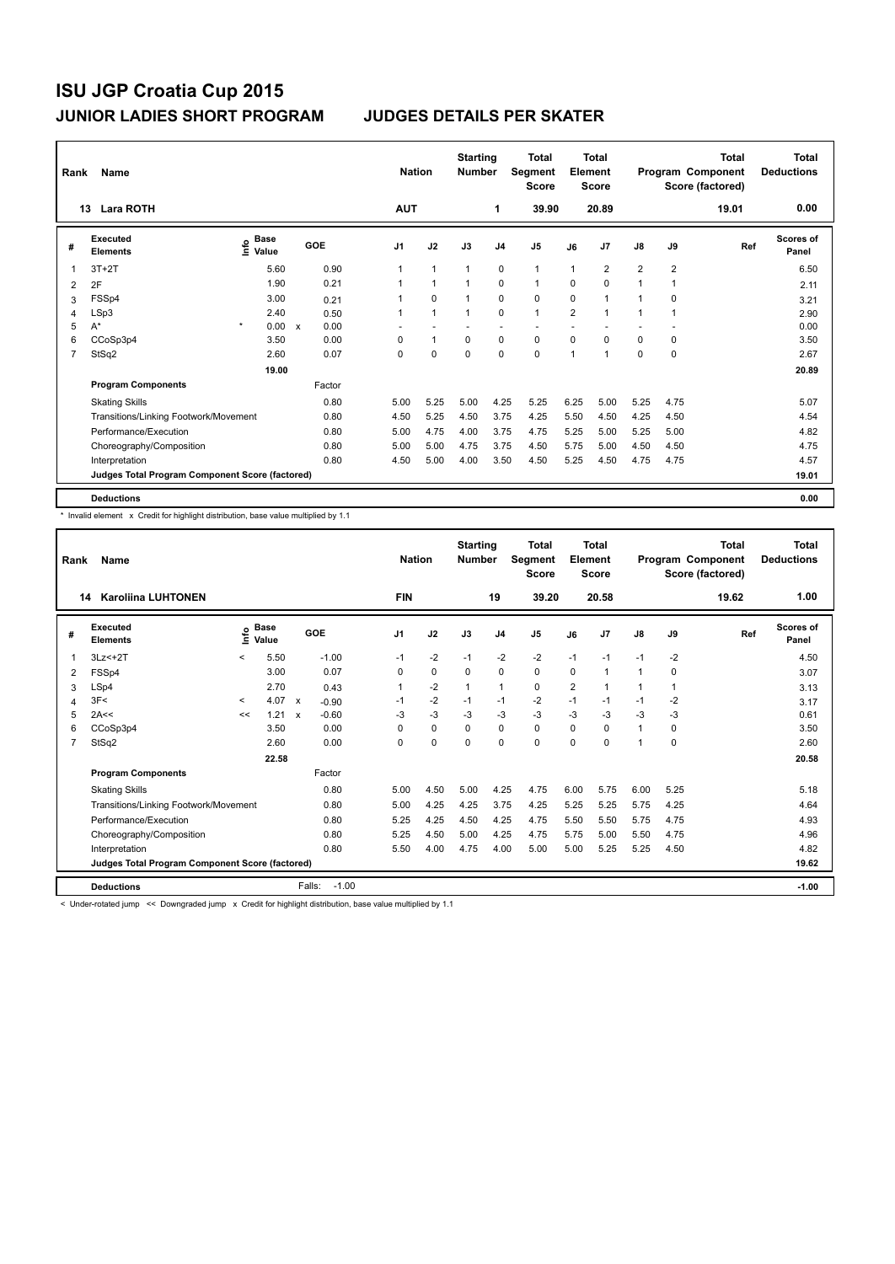| Rank           | Name                                            |                                  |       |              |      |                | <b>Nation</b>  | <b>Starting</b><br><b>Number</b> |                | Total<br>Segment<br><b>Score</b> |                | <b>Total</b><br>Element<br><b>Score</b> |                |                | <b>Total</b><br>Program Component<br>Score (factored) | <b>Total</b><br><b>Deductions</b> |
|----------------|-------------------------------------------------|----------------------------------|-------|--------------|------|----------------|----------------|----------------------------------|----------------|----------------------------------|----------------|-----------------------------------------|----------------|----------------|-------------------------------------------------------|-----------------------------------|
|                | <b>Lara ROTH</b><br>13                          |                                  |       |              |      | <b>AUT</b>     |                |                                  | $\mathbf{1}$   | 39.90                            |                | 20.89                                   |                |                | 19.01                                                 | 0.00                              |
| #              | Executed<br><b>Elements</b>                     | <b>Base</b><br>e Base<br>⊆ Value |       | GOE          |      | J <sub>1</sub> | J2             | J3                               | J <sub>4</sub> | J <sub>5</sub>                   | J6             | J7                                      | $\mathsf{J}8$  | J9             | Ref                                                   | Scores of<br>Panel                |
| 1              | $3T+2T$                                         |                                  | 5.60  |              | 0.90 | 1              | $\overline{1}$ | $\overline{1}$                   | $\pmb{0}$      | $\mathbf{1}$                     | $\mathbf{1}$   | $\overline{2}$                          | $\overline{2}$ | $\overline{2}$ |                                                       | 6.50                              |
| 2              | 2F                                              |                                  | 1.90  |              | 0.21 |                | $\overline{1}$ | $\overline{1}$                   | $\mathbf 0$    | $\mathbf{1}$                     | $\Omega$       | $\mathbf 0$                             | $\mathbf{1}$   |                |                                                       | 2.11                              |
| 3              | FSSp4                                           |                                  | 3.00  |              | 0.21 |                | 0              | $\overline{1}$                   | 0              | 0                                | 0              | 1                                       | 1              | 0              |                                                       | 3.21                              |
| 4              | LSp3                                            |                                  | 2.40  |              | 0.50 |                | $\overline{1}$ | $\overline{1}$                   | $\mathbf 0$    | $\mathbf{1}$                     | $\overline{2}$ | 1                                       | 1              |                |                                                       | 2.90                              |
| 5              | $A^*$                                           | $\star$                          | 0.00  | $\mathsf{x}$ | 0.00 |                |                |                                  |                |                                  |                |                                         |                |                |                                                       | 0.00                              |
| 6              | CCoSp3p4                                        |                                  | 3.50  |              | 0.00 | 0              | $\mathbf{1}$   | 0                                | $\mathbf 0$    | 0                                | $\Omega$       | 0                                       | 0              | 0              |                                                       | 3.50                              |
| $\overline{7}$ | StSq2                                           |                                  | 2.60  |              | 0.07 | 0              | $\mathbf 0$    | $\mathbf 0$                      | $\mathbf 0$    | 0                                | $\mathbf{1}$   | 1                                       | $\Omega$       | 0              |                                                       | 2.67                              |
|                |                                                 |                                  | 19.00 |              |      |                |                |                                  |                |                                  |                |                                         |                |                |                                                       | 20.89                             |
|                | <b>Program Components</b>                       |                                  |       | Factor       |      |                |                |                                  |                |                                  |                |                                         |                |                |                                                       |                                   |
|                | <b>Skating Skills</b>                           |                                  |       |              | 0.80 | 5.00           | 5.25           | 5.00                             | 4.25           | 5.25                             | 6.25           | 5.00                                    | 5.25           | 4.75           |                                                       | 5.07                              |
|                | Transitions/Linking Footwork/Movement           |                                  |       |              | 0.80 | 4.50           | 5.25           | 4.50                             | 3.75           | 4.25                             | 5.50           | 4.50                                    | 4.25           | 4.50           |                                                       | 4.54                              |
|                | Performance/Execution                           |                                  |       |              | 0.80 | 5.00           | 4.75           | 4.00                             | 3.75           | 4.75                             | 5.25           | 5.00                                    | 5.25           | 5.00           |                                                       | 4.82                              |
|                | Choreography/Composition                        |                                  |       |              | 0.80 | 5.00           | 5.00           | 4.75                             | 3.75           | 4.50                             | 5.75           | 5.00                                    | 4.50           | 4.50           |                                                       | 4.75                              |
|                | Interpretation                                  |                                  |       |              | 0.80 | 4.50           | 5.00           | 4.00                             | 3.50           | 4.50                             | 5.25           | 4.50                                    | 4.75           | 4.75           |                                                       | 4.57                              |
|                | Judges Total Program Component Score (factored) |                                  |       |              |      |                |                |                                  |                |                                  |                |                                         |                |                |                                                       | 19.01                             |
|                | <b>Deductions</b>                               |                                  |       |              |      |                |                |                                  |                |                                  |                |                                         |                |                |                                                       | 0.00                              |

\* Invalid element x Credit for highlight distribution, base value multiplied by 1.1

| Rank           | <b>Name</b>                                     |         |                                     |                           |                   | <b>Nation</b> |             | <b>Starting</b><br><b>Number</b> |                | <b>Total</b><br>Segment<br><b>Score</b> |                | <b>Total</b><br>Element<br><b>Score</b> |               |             | <b>Total</b><br>Program Component<br>Score (factored) | <b>Total</b><br><b>Deductions</b> |
|----------------|-------------------------------------------------|---------|-------------------------------------|---------------------------|-------------------|---------------|-------------|----------------------------------|----------------|-----------------------------------------|----------------|-----------------------------------------|---------------|-------------|-------------------------------------------------------|-----------------------------------|
|                | <b>Karoliina LUHTONEN</b><br>14                 |         |                                     |                           |                   | <b>FIN</b>    |             |                                  | 19             | 39.20                                   |                | 20.58                                   |               |             | 19.62                                                 | 1.00                              |
| #              | Executed<br><b>Elements</b>                     |         | $\sum_{k=1}^{\infty}$ Pase<br>Value |                           | GOE               | J1            | J2          | J3                               | J <sub>4</sub> | J <sub>5</sub>                          | J6             | J7                                      | $\mathsf{J}8$ | J9          | Ref                                                   | <b>Scores of</b><br>Panel         |
|                | $3Lz<+2T$                                       | $\prec$ | 5.50                                |                           | $-1.00$           | $-1$          | $-2$        | $-1$                             | $-2$           | $-2$                                    | $-1$           | $-1$                                    | $-1$          | $-2$        |                                                       | 4.50                              |
| 2              | FSSp4                                           |         | 3.00                                |                           | 0.07              | 0             | $\mathbf 0$ | $\Omega$                         | $\mathbf 0$    | 0                                       | 0              | $\mathbf{1}$                            | $\mathbf{1}$  | 0           |                                                       | 3.07                              |
| 3              | LSp4                                            |         | 2.70                                |                           | 0.43              | 1             | $-2$        | $\mathbf{1}$                     | 1              | 0                                       | $\overline{2}$ | $\mathbf{1}$                            | 1             | 1           |                                                       | 3.13                              |
| 4              | 3F<                                             | $\prec$ | 4.07                                | $\boldsymbol{\mathsf{x}}$ | $-0.90$           | $-1$          | $-2$        | $-1$                             | $-1$           | $-2$                                    | $-1$           | $-1$                                    | $-1$          | $-2$        |                                                       | 3.17                              |
| 5              | 2A<<                                            | <<      | 1.21                                | $\mathbf{x}$              | $-0.60$           | $-3$          | $-3$        | $-3$                             | $-3$           | $-3$                                    | $-3$           | $-3$                                    | $-3$          | $-3$        |                                                       | 0.61                              |
| 6              | CCoSp3p4                                        |         | 3.50                                |                           | 0.00              | 0             | $\mathbf 0$ | 0                                | $\mathbf 0$    | 0                                       | 0              | $\Omega$                                | $\mathbf{1}$  | $\Omega$    |                                                       | 3.50                              |
| $\overline{7}$ | StSq2                                           |         | 2.60                                |                           | 0.00              | $\mathbf 0$   | $\mathbf 0$ | $\Omega$                         | $\mathbf 0$    | 0                                       | $\mathbf 0$    | 0                                       | 1             | $\mathbf 0$ |                                                       | 2.60                              |
|                |                                                 |         | 22.58                               |                           |                   |               |             |                                  |                |                                         |                |                                         |               |             |                                                       | 20.58                             |
|                | <b>Program Components</b>                       |         |                                     |                           | Factor            |               |             |                                  |                |                                         |                |                                         |               |             |                                                       |                                   |
|                | <b>Skating Skills</b>                           |         |                                     |                           | 0.80              | 5.00          | 4.50        | 5.00                             | 4.25           | 4.75                                    | 6.00           | 5.75                                    | 6.00          | 5.25        |                                                       | 5.18                              |
|                | Transitions/Linking Footwork/Movement           |         |                                     |                           | 0.80              | 5.00          | 4.25        | 4.25                             | 3.75           | 4.25                                    | 5.25           | 5.25                                    | 5.75          | 4.25        |                                                       | 4.64                              |
|                | Performance/Execution                           |         |                                     |                           | 0.80              | 5.25          | 4.25        | 4.50                             | 4.25           | 4.75                                    | 5.50           | 5.50                                    | 5.75          | 4.75        |                                                       | 4.93                              |
|                | Choreography/Composition                        |         |                                     |                           | 0.80              | 5.25          | 4.50        | 5.00                             | 4.25           | 4.75                                    | 5.75           | 5.00                                    | 5.50          | 4.75        |                                                       | 4.96                              |
|                | Interpretation                                  |         |                                     |                           | 0.80              | 5.50          | 4.00        | 4.75                             | 4.00           | 5.00                                    | 5.00           | 5.25                                    | 5.25          | 4.50        |                                                       | 4.82                              |
|                | Judges Total Program Component Score (factored) |         |                                     |                           |                   |               |             |                                  |                |                                         |                |                                         |               |             |                                                       | 19.62                             |
|                | <b>Deductions</b>                               |         |                                     |                           | Falls:<br>$-1.00$ |               |             |                                  |                |                                         |                |                                         |               |             |                                                       | $-1.00$                           |

< Under-rotated jump << Downgraded jump x Credit for highlight distribution, base value multiplied by 1.1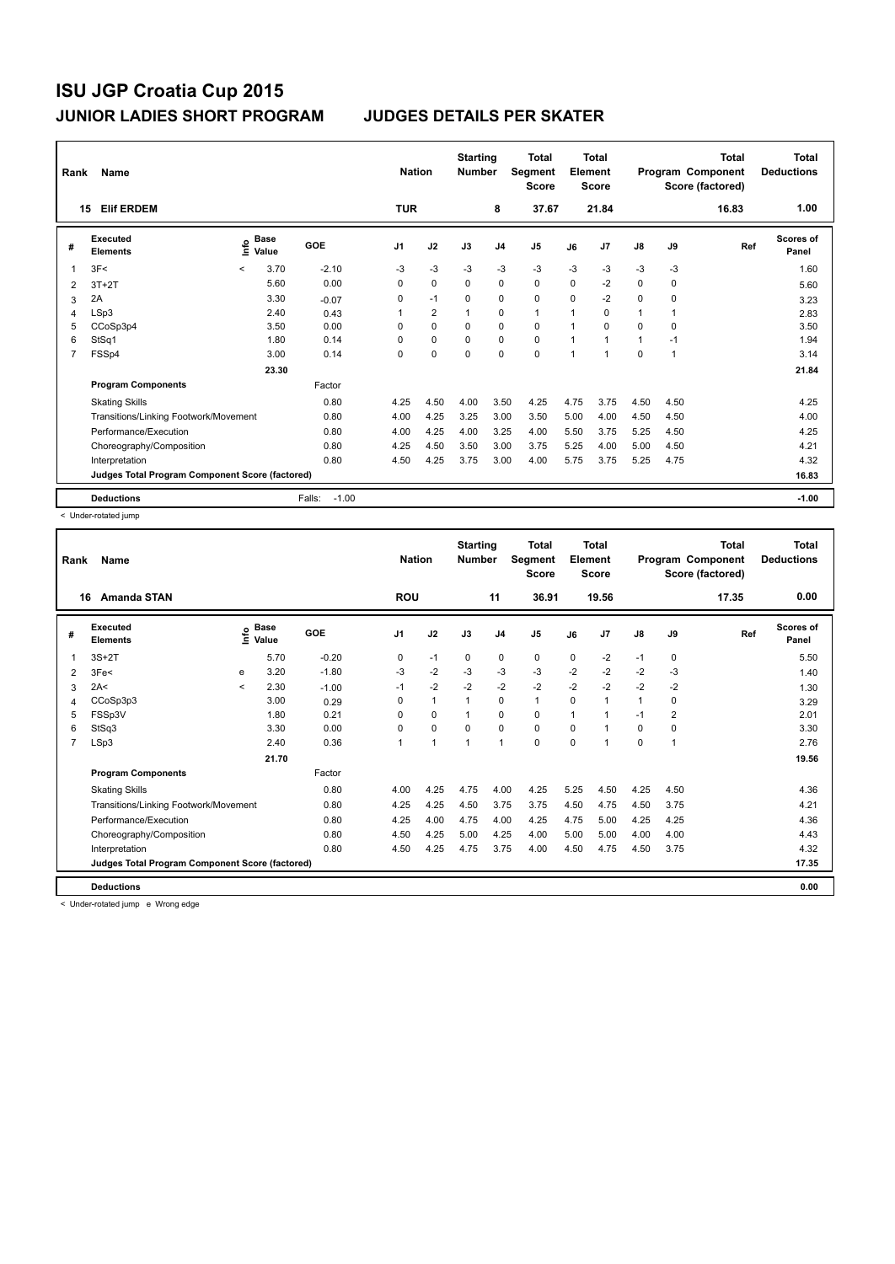| Rank | Name                                            |         |                      |                   | <b>Nation</b>  |                | <b>Starting</b><br><b>Number</b> |                | <b>Total</b><br>Segment<br><b>Score</b> |                | <b>Total</b><br>Element<br><b>Score</b> |               |          | <b>Total</b><br>Program Component<br>Score (factored) | Total<br><b>Deductions</b> |
|------|-------------------------------------------------|---------|----------------------|-------------------|----------------|----------------|----------------------------------|----------------|-----------------------------------------|----------------|-----------------------------------------|---------------|----------|-------------------------------------------------------|----------------------------|
|      | <b>Elif ERDEM</b><br>15                         |         |                      |                   | <b>TUR</b>     |                |                                  | 8              | 37.67                                   |                | 21.84                                   |               |          | 16.83                                                 | 1.00                       |
| #    | Executed<br><b>Elements</b>                     | ١nfo    | <b>Base</b><br>Value | GOE               | J <sub>1</sub> | J2             | J3                               | J <sub>4</sub> | J <sub>5</sub>                          | J6             | J <sub>7</sub>                          | $\mathsf{J}8$ | J9       | Ref                                                   | <b>Scores of</b><br>Panel  |
| 1    | 3F<                                             | $\,<\,$ | 3.70                 | $-2.10$           | $-3$           | $-3$           | $-3$                             | $-3$           | $-3$                                    | $-3$           | $-3$                                    | $-3$          | $-3$     |                                                       | 1.60                       |
| 2    | $3T+2T$                                         |         | 5.60                 | 0.00              | 0              | $\Omega$       | $\Omega$                         | $\mathbf 0$    | $\mathbf 0$                             | $\Omega$       | $-2$                                    | $\Omega$      | $\Omega$ |                                                       | 5.60                       |
| 3    | 2A                                              |         | 3.30                 | $-0.07$           | 0              | $-1$           | 0                                | 0              | $\mathbf 0$                             | $\Omega$       | $-2$                                    | $\Omega$      | 0        |                                                       | 3.23                       |
| 4    | LSp3                                            |         | 2.40                 | 0.43              | 1              | $\overline{2}$ | 1                                | 0              | $\mathbf{1}$                            | $\overline{1}$ | $\Omega$                                | 1             |          |                                                       | 2.83                       |
| 5    | CCoSp3p4                                        |         | 3.50                 | 0.00              | 0              | $\mathbf 0$    | 0                                | $\mathbf 0$    | $\mathbf 0$                             | 1              | $\Omega$                                | 0             | 0        |                                                       | 3.50                       |
| 6    | StSq1                                           |         | 1.80                 | 0.14              | 0              | $\mathbf 0$    | 0                                | $\mathbf 0$    | $\mathbf 0$                             | $\mathbf{1}$   | $\mathbf{1}$                            | 1             | $-1$     |                                                       | 1.94                       |
| 7    | FSSp4                                           |         | 3.00                 | 0.14              | 0              | 0              | 0                                | 0              | $\pmb{0}$                               | $\overline{1}$ | 1                                       | 0             | 1        |                                                       | 3.14                       |
|      |                                                 |         | 23.30                |                   |                |                |                                  |                |                                         |                |                                         |               |          |                                                       | 21.84                      |
|      | <b>Program Components</b>                       |         |                      | Factor            |                |                |                                  |                |                                         |                |                                         |               |          |                                                       |                            |
|      | <b>Skating Skills</b>                           |         |                      | 0.80              | 4.25           | 4.50           | 4.00                             | 3.50           | 4.25                                    | 4.75           | 3.75                                    | 4.50          | 4.50     |                                                       | 4.25                       |
|      | Transitions/Linking Footwork/Movement           |         |                      | 0.80              | 4.00           | 4.25           | 3.25                             | 3.00           | 3.50                                    | 5.00           | 4.00                                    | 4.50          | 4.50     |                                                       | 4.00                       |
|      | Performance/Execution                           |         |                      | 0.80              | 4.00           | 4.25           | 4.00                             | 3.25           | 4.00                                    | 5.50           | 3.75                                    | 5.25          | 4.50     |                                                       | 4.25                       |
|      | Choreography/Composition                        |         |                      | 0.80              | 4.25           | 4.50           | 3.50                             | 3.00           | 3.75                                    | 5.25           | 4.00                                    | 5.00          | 4.50     |                                                       | 4.21                       |
|      | Interpretation                                  |         |                      | 0.80              | 4.50           | 4.25           | 3.75                             | 3.00           | 4.00                                    | 5.75           | 3.75                                    | 5.25          | 4.75     |                                                       | 4.32                       |
|      | Judges Total Program Component Score (factored) |         |                      |                   |                |                |                                  |                |                                         |                |                                         |               |          |                                                       | 16.83                      |
|      | <b>Deductions</b>                               |         |                      | $-1.00$<br>Falls: |                |                |                                  |                |                                         |                |                                         |               |          |                                                       | $-1.00$                    |

< Under-rotated jump

| Rank           | <b>Name</b>                                     |         |                      |         | <b>Nation</b>  |          | <b>Starting</b><br><b>Number</b> |                | <b>Total</b><br>Segment<br><b>Score</b> |          | <b>Total</b><br>Element<br><b>Score</b> |               |      | <b>Total</b><br>Program Component<br>Score (factored) | <b>Total</b><br><b>Deductions</b> |
|----------------|-------------------------------------------------|---------|----------------------|---------|----------------|----------|----------------------------------|----------------|-----------------------------------------|----------|-----------------------------------------|---------------|------|-------------------------------------------------------|-----------------------------------|
|                | <b>Amanda STAN</b><br>16                        |         |                      |         | <b>ROU</b>     |          |                                  | 11             | 36.91                                   |          | 19.56                                   |               |      | 17.35                                                 | 0.00                              |
| #              | Executed<br><b>Elements</b>                     | lnfo    | <b>Base</b><br>Value | GOE     | J <sub>1</sub> | J2       | J3                               | J <sub>4</sub> | J5                                      | J6       | J7                                      | $\mathsf{J}8$ | J9   | Ref                                                   | <b>Scores of</b><br>Panel         |
| 1              | $3S+2T$                                         |         | 5.70                 | $-0.20$ | 0              | $-1$     | 0                                | 0              | 0                                       | $\Omega$ | $-2$                                    | $-1$          | 0    |                                                       | 5.50                              |
| 2              | 3Fe<                                            | e       | 3.20                 | $-1.80$ | $-3$           | $-2$     | $-3$                             | $-3$           | $-3$                                    | $-2$     | $-2$                                    | $-2$          | $-3$ |                                                       | 1.40                              |
| 3              | 2A<                                             | $\prec$ | 2.30                 | $-1.00$ | $-1$           | $-2$     | $-2$                             | $-2$           | $-2$                                    | $-2$     | $-2$                                    | $-2$          | $-2$ |                                                       | 1.30                              |
| 4              | CCoSp3p3                                        |         | 3.00                 | 0.29    | 0              | 1        | 1                                | 0              | $\mathbf{1}$                            | 0        | 1                                       | 1             | 0    |                                                       | 3.29                              |
| 5              | FSSp3V                                          |         | 1.80                 | 0.21    | $\Omega$       | $\Omega$ |                                  | $\Omega$       | 0                                       | 1        | 1                                       | $-1$          | 2    |                                                       | 2.01                              |
| 6              | StSq3                                           |         | 3.30                 | 0.00    | $\Omega$       | $\Omega$ | $\Omega$                         | $\Omega$       | 0                                       | 0        | 1                                       | 0             | 0    |                                                       | 3.30                              |
| $\overline{7}$ | LSp3                                            |         | 2.40                 | 0.36    | 1              | 1        | $\mathbf{1}$                     | $\mathbf{1}$   | 0                                       | $\Omega$ | 1                                       | 0             | 1    |                                                       | 2.76                              |
|                |                                                 |         | 21.70                |         |                |          |                                  |                |                                         |          |                                         |               |      |                                                       | 19.56                             |
|                | <b>Program Components</b>                       |         |                      | Factor  |                |          |                                  |                |                                         |          |                                         |               |      |                                                       |                                   |
|                | <b>Skating Skills</b>                           |         |                      | 0.80    | 4.00           | 4.25     | 4.75                             | 4.00           | 4.25                                    | 5.25     | 4.50                                    | 4.25          | 4.50 |                                                       | 4.36                              |
|                | Transitions/Linking Footwork/Movement           |         |                      | 0.80    | 4.25           | 4.25     | 4.50                             | 3.75           | 3.75                                    | 4.50     | 4.75                                    | 4.50          | 3.75 |                                                       | 4.21                              |
|                | Performance/Execution                           |         |                      | 0.80    | 4.25           | 4.00     | 4.75                             | 4.00           | 4.25                                    | 4.75     | 5.00                                    | 4.25          | 4.25 |                                                       | 4.36                              |
|                | Choreography/Composition                        |         |                      | 0.80    | 4.50           | 4.25     | 5.00                             | 4.25           | 4.00                                    | 5.00     | 5.00                                    | 4.00          | 4.00 |                                                       | 4.43                              |
|                | Interpretation                                  |         |                      | 0.80    | 4.50           | 4.25     | 4.75                             | 3.75           | 4.00                                    | 4.50     | 4.75                                    | 4.50          | 3.75 |                                                       | 4.32                              |
|                | Judges Total Program Component Score (factored) |         |                      |         |                |          |                                  |                |                                         |          |                                         |               |      |                                                       | 17.35                             |
|                | <b>Deductions</b>                               |         |                      |         |                |          |                                  |                |                                         |          |                                         |               |      |                                                       | 0.00                              |

< Under-rotated jump e Wrong edge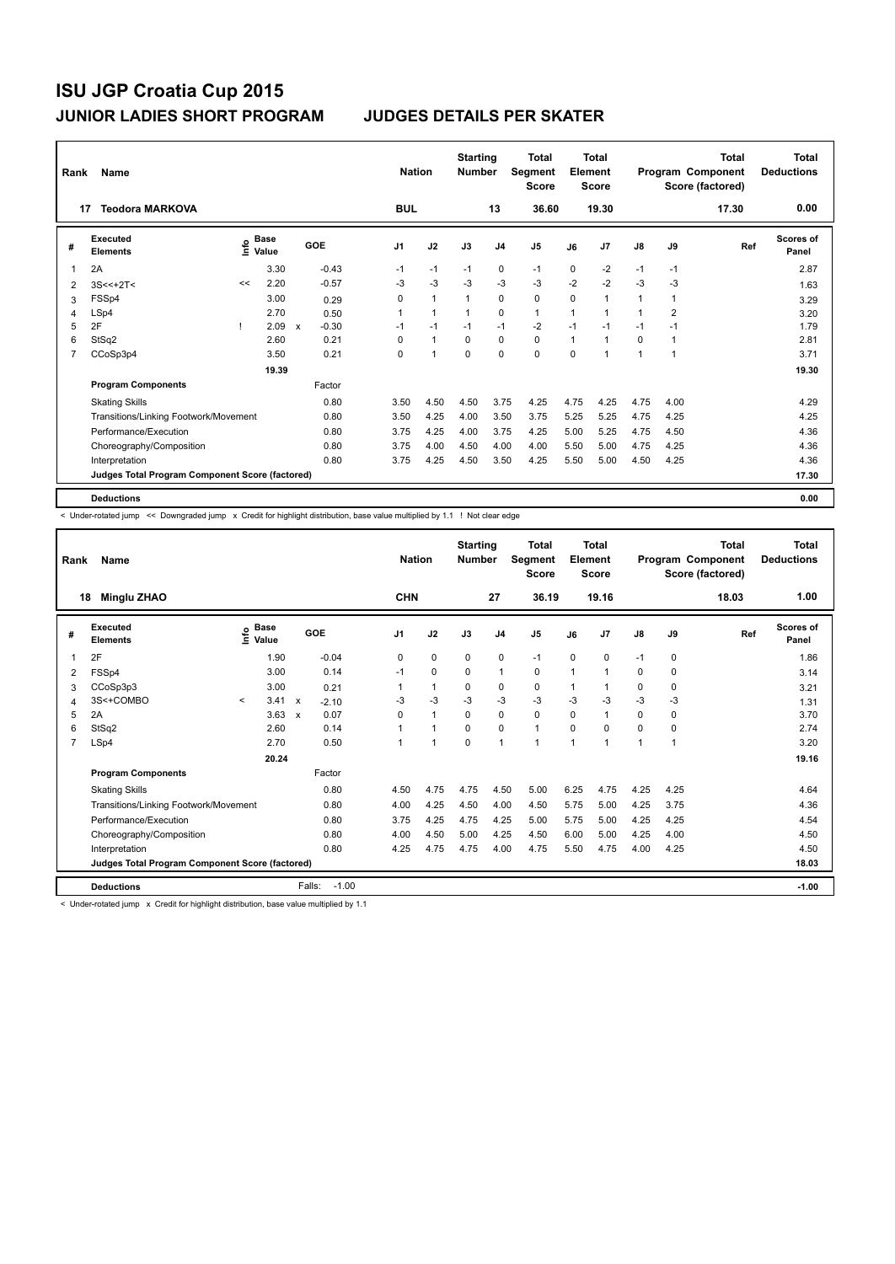| Rank                    | Name                                            |    |                                    |              |         |                | <b>Nation</b> | <b>Starting</b><br><b>Number</b> |                | Total<br>Segment<br><b>Score</b> |              | <b>Total</b><br>Element<br><b>Score</b> |               |                | <b>Total</b><br>Program Component<br>Score (factored) | <b>Total</b><br><b>Deductions</b> |
|-------------------------|-------------------------------------------------|----|------------------------------------|--------------|---------|----------------|---------------|----------------------------------|----------------|----------------------------------|--------------|-----------------------------------------|---------------|----------------|-------------------------------------------------------|-----------------------------------|
|                         | <b>Teodora MARKOVA</b><br>17                    |    |                                    |              |         | <b>BUL</b>     |               |                                  | 13             | 36.60                            |              | 19.30                                   |               |                | 17.30                                                 | 0.00                              |
| #                       | Executed<br><b>Elements</b>                     |    | <b>Base</b><br>$\frac{6}{5}$ Value | GOE          |         | J <sub>1</sub> | J2            | J3                               | J <sub>4</sub> | J <sub>5</sub>                   | J6           | J7                                      | $\mathsf{J}8$ | J9             | Ref                                                   | Scores of<br>Panel                |
| $\overline{\mathbf{1}}$ | 2A                                              |    | 3.30                               |              | $-0.43$ | $-1$           | $-1$          | $-1$                             | 0              | $-1$                             | $\Omega$     | $-2$                                    | $-1$          | $-1$           |                                                       | 2.87                              |
| 2                       | $3S < +2T$                                      | << | 2.20                               |              | $-0.57$ | -3             | $-3$          | $-3$                             | $-3$           | $-3$                             | $-2$         | $-2$                                    | $-3$          | -3             |                                                       | 1.63                              |
| 3                       | FSSp4                                           |    | 3.00                               |              | 0.29    | 0              | $\mathbf{1}$  | 1                                | 0              | $\mathbf 0$                      | 0            | 1                                       | 1             | 1              |                                                       | 3.29                              |
| 4                       | LSp4                                            |    | 2.70                               |              | 0.50    |                | $\mathbf{1}$  |                                  | $\mathbf 0$    | $\mathbf{1}$                     | 1            | 1                                       | 1             | $\overline{2}$ |                                                       | 3.20                              |
| 5                       | 2F                                              |    | 2.09                               | $\mathsf{x}$ | $-0.30$ | $-1$           | $-1$          | $-1$                             | $-1$           | $-2$                             | $-1$         | $-1$                                    | $-1$          | $-1$           |                                                       | 1.79                              |
| 6                       | StSq2                                           |    | 2.60                               |              | 0.21    | $\Omega$       | $\mathbf{1}$  | $\Omega$                         | $\mathbf 0$    | $\mathbf 0$                      | $\mathbf{1}$ | 1                                       | 0             |                |                                                       | 2.81                              |
| $\overline{7}$          | CCoSp3p4                                        |    | 3.50                               |              | 0.21    | 0              | 1             | $\mathbf 0$                      | $\mathbf 0$    | $\mathbf 0$                      | $\Omega$     | 1                                       | 1             | 1              |                                                       | 3.71                              |
|                         |                                                 |    | 19.39                              |              |         |                |               |                                  |                |                                  |              |                                         |               |                |                                                       | 19.30                             |
|                         | <b>Program Components</b>                       |    |                                    |              | Factor  |                |               |                                  |                |                                  |              |                                         |               |                |                                                       |                                   |
|                         | <b>Skating Skills</b>                           |    |                                    |              | 0.80    | 3.50           | 4.50          | 4.50                             | 3.75           | 4.25                             | 4.75         | 4.25                                    | 4.75          | 4.00           |                                                       | 4.29                              |
|                         | Transitions/Linking Footwork/Movement           |    |                                    |              | 0.80    | 3.50           | 4.25          | 4.00                             | 3.50           | 3.75                             | 5.25         | 5.25                                    | 4.75          | 4.25           |                                                       | 4.25                              |
|                         | Performance/Execution                           |    |                                    |              | 0.80    | 3.75           | 4.25          | 4.00                             | 3.75           | 4.25                             | 5.00         | 5.25                                    | 4.75          | 4.50           |                                                       | 4.36                              |
|                         | Choreography/Composition                        |    |                                    |              | 0.80    | 3.75           | 4.00          | 4.50                             | 4.00           | 4.00                             | 5.50         | 5.00                                    | 4.75          | 4.25           |                                                       | 4.36                              |
|                         | Interpretation                                  |    |                                    |              | 0.80    | 3.75           | 4.25          | 4.50                             | 3.50           | 4.25                             | 5.50         | 5.00                                    | 4.50          | 4.25           |                                                       | 4.36                              |
|                         | Judges Total Program Component Score (factored) |    |                                    |              |         |                |               |                                  |                |                                  |              |                                         |               |                |                                                       | 17.30                             |
|                         | <b>Deductions</b>                               |    |                                    |              |         |                |               |                                  |                |                                  |              |                                         |               |                |                                                       | 0.00                              |

< Under-rotated jump << Downgraded jump x Credit for highlight distribution, base value multiplied by 1.1 ! Not clear edge

| Rank<br>18     | Name<br><b>Minglu ZHAO</b>                      |         |                                           |                           |                   | <b>Nation</b><br><b>CHN</b> |                      | <b>Starting</b><br><b>Number</b> | 27             | Total<br>Segment<br><b>Score</b><br>36.19 |                | <b>Total</b><br>Element<br><b>Score</b><br>19.16 |      |             | <b>Total</b><br>Program Component<br>Score (factored)<br>18.03 | <b>Total</b><br><b>Deductions</b><br>1.00 |
|----------------|-------------------------------------------------|---------|-------------------------------------------|---------------------------|-------------------|-----------------------------|----------------------|----------------------------------|----------------|-------------------------------------------|----------------|--------------------------------------------------|------|-------------|----------------------------------------------------------------|-------------------------------------------|
| #              | Executed<br><b>Elements</b>                     |         | $\frac{e}{E}$ Base<br>$\frac{e}{E}$ Value |                           | GOE               | J <sub>1</sub>              | J2                   | J3                               | J <sub>4</sub> | J <sub>5</sub>                            | J6             | J7                                               | J8   | J9          | Ref                                                            | Scores of<br>Panel                        |
| 1              | 2F                                              |         | 1.90                                      |                           | $-0.04$           | 0                           | $\mathbf 0$          | $\mathbf 0$                      | $\mathbf 0$    | $-1$                                      | 0              | 0                                                | $-1$ | $\mathbf 0$ |                                                                | 1.86                                      |
| 2              | FSSp4                                           |         | 3.00                                      |                           | 0.14              | $-1$                        | 0                    | $\Omega$                         | $\mathbf{1}$   | 0                                         | 1              | 1                                                | 0    | 0           |                                                                | 3.14                                      |
| 3              | CCoSp3p3                                        |         | 3.00                                      |                           | 0.21              |                             | 1                    | $\Omega$                         | 0              | 0                                         |                |                                                  | 0    | 0           |                                                                | 3.21                                      |
| 4              | 3S<+COMBO                                       | $\prec$ | 3.41                                      | $\boldsymbol{\mathsf{x}}$ | $-2.10$           | $-3$                        | $-3$                 | $-3$                             | $-3$           | $-3$                                      | $-3$           | $-3$                                             | $-3$ | $-3$        |                                                                | 1.31                                      |
| 5              | 2A                                              |         | 3.63                                      | $\boldsymbol{\mathsf{x}}$ | 0.07              | 0                           | $\mathbf{1}$         | $\Omega$                         | 0              | $\mathbf 0$                               | $\Omega$       | 1                                                | 0    | $\mathbf 0$ |                                                                | 3.70                                      |
| 6              | StSq2                                           |         | 2.60                                      |                           | 0.14              |                             | $\blacktriangleleft$ | $\Omega$                         | 0              | $\mathbf{1}$                              | $\Omega$       | 0                                                | 0    | 0           |                                                                | 2.74                                      |
| $\overline{7}$ | LSp4                                            |         | 2.70                                      |                           | 0.50              |                             | $\overline{1}$       | $\mathbf 0$                      | $\mathbf{1}$   | $\blacktriangleleft$                      | $\overline{1}$ | 1                                                | 1    | 1           |                                                                | 3.20                                      |
|                |                                                 |         | 20.24                                     |                           |                   |                             |                      |                                  |                |                                           |                |                                                  |      |             |                                                                | 19.16                                     |
|                | <b>Program Components</b>                       |         |                                           |                           | Factor            |                             |                      |                                  |                |                                           |                |                                                  |      |             |                                                                |                                           |
|                | <b>Skating Skills</b>                           |         |                                           |                           | 0.80              | 4.50                        | 4.75                 | 4.75                             | 4.50           | 5.00                                      | 6.25           | 4.75                                             | 4.25 | 4.25        |                                                                | 4.64                                      |
|                | Transitions/Linking Footwork/Movement           |         |                                           |                           | 0.80              | 4.00                        | 4.25                 | 4.50                             | 4.00           | 4.50                                      | 5.75           | 5.00                                             | 4.25 | 3.75        |                                                                | 4.36                                      |
|                | Performance/Execution                           |         |                                           |                           | 0.80              | 3.75                        | 4.25                 | 4.75                             | 4.25           | 5.00                                      | 5.75           | 5.00                                             | 4.25 | 4.25        |                                                                | 4.54                                      |
|                | Choreography/Composition                        |         |                                           |                           | 0.80              | 4.00                        | 4.50                 | 5.00                             | 4.25           | 4.50                                      | 6.00           | 5.00                                             | 4.25 | 4.00        |                                                                | 4.50                                      |
|                | Interpretation                                  |         |                                           |                           | 0.80              | 4.25                        | 4.75                 | 4.75                             | 4.00           | 4.75                                      | 5.50           | 4.75                                             | 4.00 | 4.25        |                                                                | 4.50                                      |
|                | Judges Total Program Component Score (factored) |         |                                           |                           |                   |                             |                      |                                  |                |                                           |                |                                                  |      |             |                                                                | 18.03                                     |
|                | <b>Deductions</b>                               |         |                                           |                           | $-1.00$<br>Falls: |                             |                      |                                  |                |                                           |                |                                                  |      |             |                                                                | $-1.00$                                   |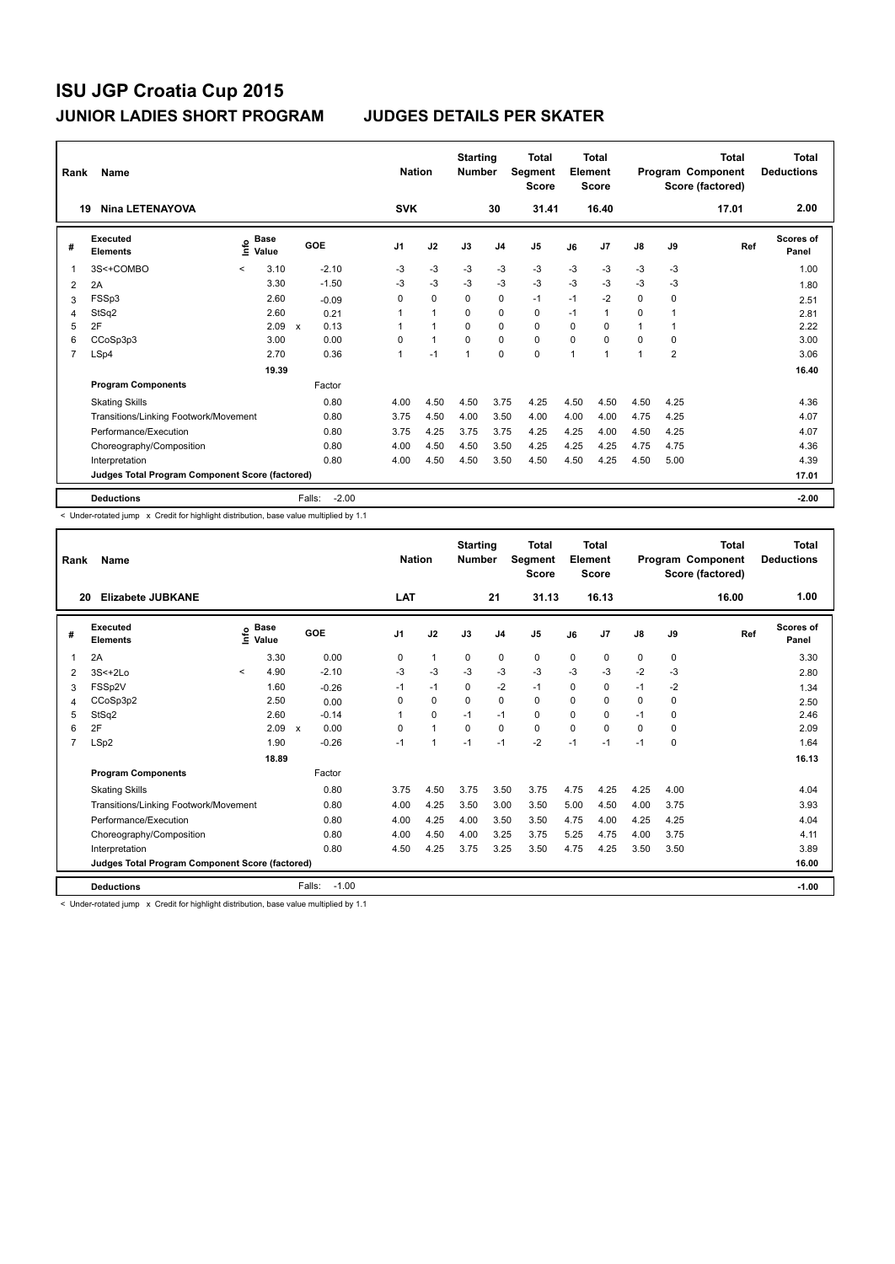| Rank | Name                                            |                              |                           |                   | <b>Nation</b>  |                | <b>Starting</b><br><b>Number</b> |                | Total<br>Segment<br><b>Score</b> |              | <b>Total</b><br>Element<br><b>Score</b> |          |                | <b>Total</b><br>Program Component<br>Score (factored) | <b>Total</b><br><b>Deductions</b> |
|------|-------------------------------------------------|------------------------------|---------------------------|-------------------|----------------|----------------|----------------------------------|----------------|----------------------------------|--------------|-----------------------------------------|----------|----------------|-------------------------------------------------------|-----------------------------------|
| 19   | <b>Nina LETENAYOVA</b>                          |                              |                           |                   | <b>SVK</b>     |                |                                  | 30             | 31.41                            |              | 16.40                                   |          |                | 17.01                                                 | 2.00                              |
| #    | Executed<br><b>Elements</b>                     | <b>Base</b><br>١nfo<br>Value |                           | GOE               | J <sub>1</sub> | J2             | J3                               | J <sub>4</sub> | J <sub>5</sub>                   | J6           | J7                                      | J8       | J9             | Ref                                                   | <b>Scores of</b><br>Panel         |
| 1    | 3S<+COMBO                                       | 3.10<br>$\prec$              |                           | $-2.10$           | $-3$           | $-3$           | $-3$                             | $-3$           | $-3$                             | $-3$         | $-3$                                    | $-3$     | $-3$           |                                                       | 1.00                              |
| 2    | 2A                                              | 3.30                         |                           | $-1.50$           | $-3$           | $-3$           | $-3$                             | $-3$           | $-3$                             | $-3$         | $-3$                                    | $-3$     | $-3$           |                                                       | 1.80                              |
| 3    | FSSp3                                           | 2.60                         |                           | $-0.09$           | 0              | 0              | $\Omega$                         | 0              | $-1$                             | $-1$         | $-2$                                    | 0        | 0              |                                                       | 2.51                              |
| 4    | StSq2                                           | 2.60                         |                           | 0.21              |                | $\overline{1}$ | $\Omega$                         | $\Omega$       | $\Omega$                         | $-1$         | 1                                       | $\Omega$ |                |                                                       | 2.81                              |
| 5    | 2F                                              | 2.09                         | $\boldsymbol{\mathsf{x}}$ | 0.13              |                | $\overline{1}$ | $\mathbf 0$                      | $\mathbf 0$    | $\mathbf 0$                      | $\Omega$     | 0                                       | 1        |                |                                                       | 2.22                              |
| 6    | CCoSp3p3                                        | 3.00                         |                           | 0.00              | 0              | $\mathbf{1}$   | 0                                | 0              | $\mathbf 0$                      | $\Omega$     | 0                                       | 0        | 0              |                                                       | 3.00                              |
| 7    | LSp4                                            | 2.70                         |                           | 0.36              | 1              | $-1$           | $\overline{1}$                   | $\mathbf 0$    | 0                                | $\mathbf{1}$ | 1                                       | 1        | $\overline{2}$ |                                                       | 3.06                              |
|      |                                                 | 19.39                        |                           |                   |                |                |                                  |                |                                  |              |                                         |          |                |                                                       | 16.40                             |
|      | <b>Program Components</b>                       |                              |                           | Factor            |                |                |                                  |                |                                  |              |                                         |          |                |                                                       |                                   |
|      | <b>Skating Skills</b>                           |                              |                           | 0.80              | 4.00           | 4.50           | 4.50                             | 3.75           | 4.25                             | 4.50         | 4.50                                    | 4.50     | 4.25           |                                                       | 4.36                              |
|      | Transitions/Linking Footwork/Movement           |                              |                           | 0.80              | 3.75           | 4.50           | 4.00                             | 3.50           | 4.00                             | 4.00         | 4.00                                    | 4.75     | 4.25           |                                                       | 4.07                              |
|      | Performance/Execution                           |                              |                           | 0.80              | 3.75           | 4.25           | 3.75                             | 3.75           | 4.25                             | 4.25         | 4.00                                    | 4.50     | 4.25           |                                                       | 4.07                              |
|      | Choreography/Composition                        |                              |                           | 0.80              | 4.00           | 4.50           | 4.50                             | 3.50           | 4.25                             | 4.25         | 4.25                                    | 4.75     | 4.75           |                                                       | 4.36                              |
|      | Interpretation                                  |                              |                           | 0.80              | 4.00           | 4.50           | 4.50                             | 3.50           | 4.50                             | 4.50         | 4.25                                    | 4.50     | 5.00           |                                                       | 4.39                              |
|      | Judges Total Program Component Score (factored) |                              |                           |                   |                |                |                                  |                |                                  |              |                                         |          |                |                                                       | 17.01                             |
|      | <b>Deductions</b>                               |                              |                           | $-2.00$<br>Falls: |                |                |                                  |                |                                  |              |                                         |          |                |                                                       | $-2.00$                           |

< Under-rotated jump x Credit for highlight distribution, base value multiplied by 1.1

| Rank           | Name                                            |         |                      |                           |         | <b>Nation</b>  |              | <b>Starting</b><br><b>Number</b> |                | Total<br>Segment<br><b>Score</b> |          | <b>Total</b><br>Element<br><b>Score</b> |               |          | Total<br>Program Component<br>Score (factored) | <b>Total</b><br><b>Deductions</b> |
|----------------|-------------------------------------------------|---------|----------------------|---------------------------|---------|----------------|--------------|----------------------------------|----------------|----------------------------------|----------|-----------------------------------------|---------------|----------|------------------------------------------------|-----------------------------------|
| 20             | Elizabete JUBKANE                               |         |                      |                           |         | LAT            |              |                                  | 21             | 31.13                            |          | 16.13                                   |               |          | 16.00                                          | 1.00                              |
| #              | Executed<br><b>Elements</b>                     | lnfo    | <b>Base</b><br>Value |                           | GOE     | J <sub>1</sub> | J2           | J3                               | J <sub>4</sub> | J <sub>5</sub>                   | J6       | J7                                      | $\mathsf{J}8$ | J9       | Ref                                            | <b>Scores of</b><br>Panel         |
|                | 2A                                              |         | 3.30                 |                           | 0.00    | $\Omega$       | $\mathbf{1}$ | $\Omega$                         | 0              | 0                                | $\Omega$ | 0                                       | 0             | 0        |                                                | 3.30                              |
| 2              | $3S<+2Lo$                                       | $\prec$ | 4.90                 |                           | $-2.10$ | $-3$           | -3           | $-3$                             | $-3$           | $-3$                             | $-3$     | $-3$                                    | $-2$          | $-3$     |                                                | 2.80                              |
| 3              | FSSp2V                                          |         | 1.60                 |                           | $-0.26$ | $-1$           | $-1$         | 0                                | $-2$           | $-1$                             | 0        | 0                                       | $-1$          | $-2$     |                                                | 1.34                              |
| 4              | CCoSp3p2                                        |         | 2.50                 |                           | 0.00    | $\Omega$       | 0            | $\Omega$                         | 0              | 0                                | 0        | 0                                       | 0             | 0        |                                                | 2.50                              |
| 5              | StSq2                                           |         | 2.60                 |                           | $-0.14$ | 1              | 0            | $-1$                             | $-1$           | $\Omega$                         | 0        | $\Omega$                                | $-1$          | $\Omega$ |                                                | 2.46                              |
| 6              | 2F                                              |         | 2.09                 | $\boldsymbol{\mathsf{x}}$ | 0.00    | 0              | $\mathbf{1}$ | $\Omega$                         | $\Omega$       | 0                                | 0        | $\Omega$                                | 0             | $\Omega$ |                                                | 2.09                              |
| $\overline{7}$ | LSp2                                            |         | 1.90                 |                           | $-0.26$ | $-1$           | $\mathbf{1}$ | $-1$                             | $-1$           | $-2$                             | $-1$     | $-1$                                    | $-1$          | 0        |                                                | 1.64                              |
|                |                                                 |         | 18.89                |                           |         |                |              |                                  |                |                                  |          |                                         |               |          |                                                | 16.13                             |
|                | <b>Program Components</b>                       |         |                      |                           | Factor  |                |              |                                  |                |                                  |          |                                         |               |          |                                                |                                   |
|                | <b>Skating Skills</b>                           |         |                      |                           | 0.80    | 3.75           | 4.50         | 3.75                             | 3.50           | 3.75                             | 4.75     | 4.25                                    | 4.25          | 4.00     |                                                | 4.04                              |
|                | Transitions/Linking Footwork/Movement           |         |                      |                           | 0.80    | 4.00           | 4.25         | 3.50                             | 3.00           | 3.50                             | 5.00     | 4.50                                    | 4.00          | 3.75     |                                                | 3.93                              |
|                | Performance/Execution                           |         |                      |                           | 0.80    | 4.00           | 4.25         | 4.00                             | 3.50           | 3.50                             | 4.75     | 4.00                                    | 4.25          | 4.25     |                                                | 4.04                              |
|                | Choreography/Composition                        |         |                      |                           | 0.80    | 4.00           | 4.50         | 4.00                             | 3.25           | 3.75                             | 5.25     | 4.75                                    | 4.00          | 3.75     |                                                | 4.11                              |
|                | Interpretation                                  |         |                      |                           | 0.80    | 4.50           | 4.25         | 3.75                             | 3.25           | 3.50                             | 4.75     | 4.25                                    | 3.50          | 3.50     |                                                | 3.89                              |
|                | Judges Total Program Component Score (factored) |         |                      |                           |         |                |              |                                  |                |                                  |          |                                         |               |          |                                                | 16.00                             |
|                | <b>Deductions</b>                               |         |                      | Falls:                    | $-1.00$ |                |              |                                  |                |                                  |          |                                         |               |          |                                                | $-1.00$                           |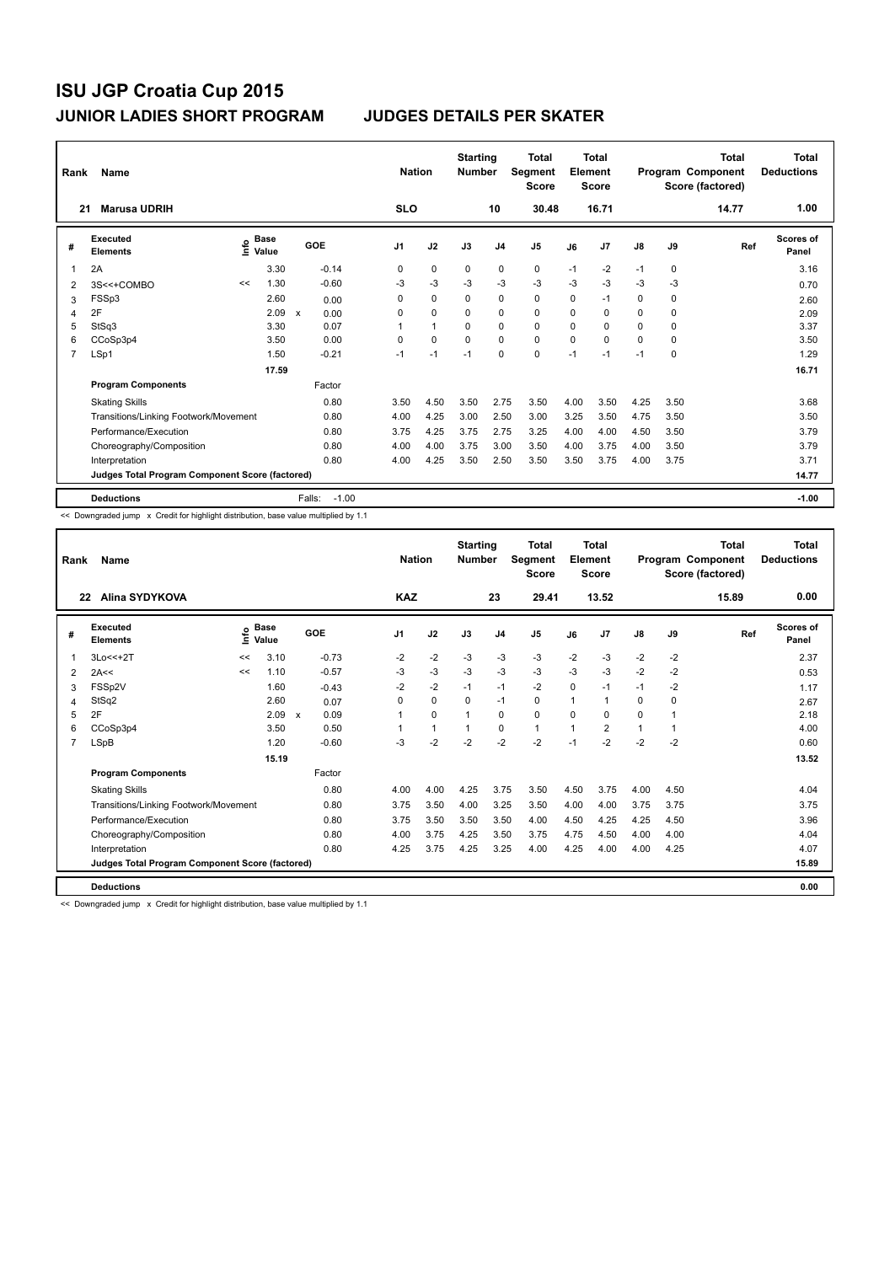| Rank | Name                                            |                              |       |                      | <b>Nation</b>  |              | <b>Starting</b><br><b>Number</b> |                | Total<br>Segment<br><b>Score</b> |          | <b>Total</b><br>Element<br><b>Score</b> |          |      | <b>Total</b><br>Program Component<br>Score (factored) | <b>Total</b><br><b>Deductions</b> |
|------|-------------------------------------------------|------------------------------|-------|----------------------|----------------|--------------|----------------------------------|----------------|----------------------------------|----------|-----------------------------------------|----------|------|-------------------------------------------------------|-----------------------------------|
| 21   | <b>Marusa UDRIH</b>                             |                              |       |                      | <b>SLO</b>     |              |                                  | 10             | 30.48                            |          | 16.71                                   |          |      | 14.77                                                 | 1.00                              |
| #    | Executed<br><b>Elements</b>                     | <b>Base</b><br>lnfo<br>Value |       | GOE                  | J <sub>1</sub> | J2           | J3                               | J <sub>4</sub> | J <sub>5</sub>                   | J6       | J7                                      | J8       | J9   | Ref                                                   | <b>Scores of</b><br>Panel         |
| 1    | 2A                                              |                              | 3.30  | $-0.14$              | 0              | $\Omega$     | $\Omega$                         | $\mathbf 0$    | $\mathbf 0$                      | $-1$     | $-2$                                    | $-1$     | 0    |                                                       | 3.16                              |
| 2    | 3S<<+COMBO                                      | <<                           | 1.30  | $-0.60$              | $-3$           | $-3$         | $-3$                             | $-3$           | $-3$                             | $-3$     | $-3$                                    | $-3$     | $-3$ |                                                       | 0.70                              |
| 3    | FSSp3                                           |                              | 2.60  | 0.00                 | 0              | 0            | $\Omega$                         | 0              | $\mathbf 0$                      | $\Omega$ | $-1$                                    | 0        | 0    |                                                       | 2.60                              |
| 4    | 2F                                              |                              | 2.09  | $\mathsf{x}$<br>0.00 | 0              | $\Omega$     | $\Omega$                         | $\Omega$       | $\Omega$                         | $\Omega$ | $\Omega$                                | $\Omega$ | 0    |                                                       | 2.09                              |
| 5    | StSq3                                           |                              | 3.30  | 0.07                 |                | $\mathbf{1}$ | $\mathbf 0$                      | $\mathbf 0$    | $\mathbf 0$                      | $\Omega$ | 0                                       | 0        | 0    |                                                       | 3.37                              |
| 6    | CCoSp3p4                                        |                              | 3.50  | 0.00                 | 0              | 0            | 0                                | 0              | $\mathbf 0$                      | $\Omega$ | $\Omega$                                | 0        | 0    |                                                       | 3.50                              |
| 7    | LSp1                                            |                              | 1.50  | $-0.21$              | $-1$           | $-1$         | $-1$                             | $\mathbf 0$    | 0                                | $-1$     | $-1$                                    | $-1$     | 0    |                                                       | 1.29                              |
|      |                                                 |                              | 17.59 |                      |                |              |                                  |                |                                  |          |                                         |          |      |                                                       | 16.71                             |
|      | <b>Program Components</b>                       |                              |       | Factor               |                |              |                                  |                |                                  |          |                                         |          |      |                                                       |                                   |
|      | <b>Skating Skills</b>                           |                              |       | 0.80                 | 3.50           | 4.50         | 3.50                             | 2.75           | 3.50                             | 4.00     | 3.50                                    | 4.25     | 3.50 |                                                       | 3.68                              |
|      | Transitions/Linking Footwork/Movement           |                              |       | 0.80                 | 4.00           | 4.25         | 3.00                             | 2.50           | 3.00                             | 3.25     | 3.50                                    | 4.75     | 3.50 |                                                       | 3.50                              |
|      | Performance/Execution                           |                              |       | 0.80                 | 3.75           | 4.25         | 3.75                             | 2.75           | 3.25                             | 4.00     | 4.00                                    | 4.50     | 3.50 |                                                       | 3.79                              |
|      | Choreography/Composition                        |                              |       | 0.80                 | 4.00           | 4.00         | 3.75                             | 3.00           | 3.50                             | 4.00     | 3.75                                    | 4.00     | 3.50 |                                                       | 3.79                              |
|      | Interpretation                                  |                              |       | 0.80                 | 4.00           | 4.25         | 3.50                             | 2.50           | 3.50                             | 3.50     | 3.75                                    | 4.00     | 3.75 |                                                       | 3.71                              |
|      | Judges Total Program Component Score (factored) |                              |       |                      |                |              |                                  |                |                                  |          |                                         |          |      |                                                       | 14.77                             |
|      | <b>Deductions</b>                               |                              |       | $-1.00$<br>Falls:    |                |              |                                  |                |                                  |          |                                         |          |      |                                                       | $-1.00$                           |

<< Downgraded jump x Credit for highlight distribution, base value multiplied by 1.1

| Rank           | Name                                            |    |                            |              |         | <b>Nation</b> |          | <b>Starting</b><br><b>Number</b> |                | <b>Total</b><br>Segment<br><b>Score</b> |                | <b>Total</b><br>Element<br><b>Score</b> |      |          | <b>Total</b><br>Program Component<br>Score (factored) | <b>Total</b><br><b>Deductions</b> |
|----------------|-------------------------------------------------|----|----------------------------|--------------|---------|---------------|----------|----------------------------------|----------------|-----------------------------------------|----------------|-----------------------------------------|------|----------|-------------------------------------------------------|-----------------------------------|
|                | Alina SYDYKOVA<br>22                            |    |                            |              |         | <b>KAZ</b>    |          |                                  | 23             | 29.41                                   |                | 13.52                                   |      |          | 15.89                                                 | 0.00                              |
| #              | Executed<br><b>Elements</b>                     |    | e Base<br>E Value<br>Value | GOE          |         | J1            | J2       | J3                               | J <sub>4</sub> | J <sub>5</sub>                          | J6             | J <sub>7</sub>                          | J8   | J9       | Ref                                                   | Scores of<br>Panel                |
| 1              | 3Lo<<+2T                                        | << | 3.10                       |              | $-0.73$ | $-2$          | $-2$     | $-3$                             | $-3$           | $-3$                                    | $-2$           | $-3$                                    | $-2$ | $-2$     |                                                       | 2.37                              |
| 2              | 2A<<                                            | << | 1.10                       |              | $-0.57$ | $-3$          | $-3$     | $-3$                             | $-3$           | $-3$                                    | $-3$           | $-3$                                    | $-2$ | $-2$     |                                                       | 0.53                              |
| 3              | FSSp2V                                          |    | 1.60                       |              | $-0.43$ | $-2$          | $-2$     | $-1$                             | $-1$           | $-2$                                    | $\mathbf 0$    | $-1$                                    | $-1$ | $-2$     |                                                       | 1.17                              |
| 4              | StSq2                                           |    | 2.60                       |              | 0.07    | $\Omega$      | $\Omega$ | $\Omega$                         | $-1$           | 0                                       | $\mathbf{1}$   | $\overline{1}$                          | 0    | $\Omega$ |                                                       | 2.67                              |
| 5              | 2F                                              |    | 2.09                       | $\mathsf{x}$ | 0.09    |               | $\Omega$ |                                  | $\mathbf 0$    | 0                                       | $\Omega$       | 0                                       | 0    | 1        |                                                       | 2.18                              |
| 6              | CCoSp3p4                                        |    | 3.50                       |              | 0.50    |               | 1        |                                  | 0              | 1                                       | $\overline{1}$ | 2                                       | 1    | 1        |                                                       | 4.00                              |
| $\overline{7}$ | LSpB                                            |    | 1.20                       |              | $-0.60$ | $-3$          | $-2$     | $-2$                             | $-2$           | $-2$                                    | $-1$           | $-2$                                    | $-2$ | $-2$     |                                                       | 0.60                              |
|                |                                                 |    | 15.19                      |              |         |               |          |                                  |                |                                         |                |                                         |      |          |                                                       | 13.52                             |
|                | <b>Program Components</b>                       |    |                            |              | Factor  |               |          |                                  |                |                                         |                |                                         |      |          |                                                       |                                   |
|                | <b>Skating Skills</b>                           |    |                            |              | 0.80    | 4.00          | 4.00     | 4.25                             | 3.75           | 3.50                                    | 4.50           | 3.75                                    | 4.00 | 4.50     |                                                       | 4.04                              |
|                | Transitions/Linking Footwork/Movement           |    |                            |              | 0.80    | 3.75          | 3.50     | 4.00                             | 3.25           | 3.50                                    | 4.00           | 4.00                                    | 3.75 | 3.75     |                                                       | 3.75                              |
|                | Performance/Execution                           |    |                            |              | 0.80    | 3.75          | 3.50     | 3.50                             | 3.50           | 4.00                                    | 4.50           | 4.25                                    | 4.25 | 4.50     |                                                       | 3.96                              |
|                | Choreography/Composition                        |    |                            |              | 0.80    | 4.00          | 3.75     | 4.25                             | 3.50           | 3.75                                    | 4.75           | 4.50                                    | 4.00 | 4.00     |                                                       | 4.04                              |
|                | Interpretation                                  |    |                            |              | 0.80    | 4.25          | 3.75     | 4.25                             | 3.25           | 4.00                                    | 4.25           | 4.00                                    | 4.00 | 4.25     |                                                       | 4.07                              |
|                | Judges Total Program Component Score (factored) |    |                            |              |         |               |          |                                  |                |                                         |                |                                         |      |          |                                                       | 15.89                             |
|                | <b>Deductions</b>                               |    |                            |              |         |               |          |                                  |                |                                         |                |                                         |      |          |                                                       | 0.00                              |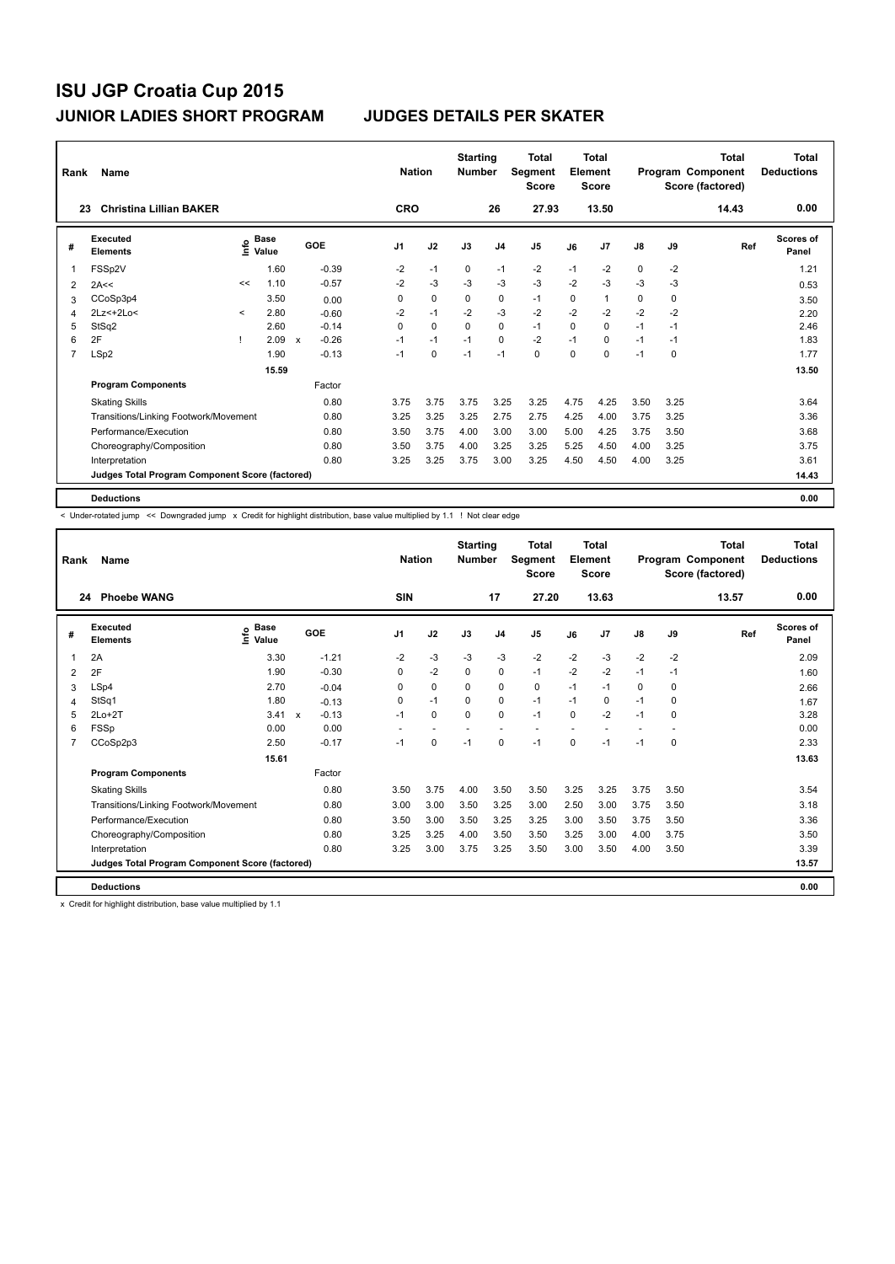| Rank           | Name                                            |         |                                    |                           |         |                | <b>Nation</b> | <b>Starting</b><br><b>Number</b> |                | <b>Total</b><br>Segment<br><b>Score</b> |          | <b>Total</b><br>Element<br>Score |               |      | <b>Total</b><br>Program Component<br>Score (factored) | Total<br><b>Deductions</b> |
|----------------|-------------------------------------------------|---------|------------------------------------|---------------------------|---------|----------------|---------------|----------------------------------|----------------|-----------------------------------------|----------|----------------------------------|---------------|------|-------------------------------------------------------|----------------------------|
|                | <b>Christina Lillian BAKER</b><br>23            |         |                                    |                           |         | <b>CRO</b>     |               |                                  | 26             | 27.93                                   |          | 13.50                            |               |      | 14.43                                                 | 0.00                       |
| #              | Executed<br><b>Elements</b>                     |         | <b>Base</b><br>$\frac{6}{5}$ Value |                           | GOE     | J <sub>1</sub> | J2            | J3                               | J <sub>4</sub> | J <sub>5</sub>                          | J6       | J <sub>7</sub>                   | $\mathsf{J}8$ | J9   | Ref                                                   | Scores of<br>Panel         |
| -1             | FSSp2V                                          |         | 1.60                               |                           | $-0.39$ | $-2$           | $-1$          | 0                                | $-1$           | $-2$                                    | $-1$     | $-2$                             | 0             | $-2$ |                                                       | 1.21                       |
| 2              | 2A<<                                            | <<      | 1.10                               |                           | $-0.57$ | $-2$           | $-3$          | $-3$                             | $-3$           | $-3$                                    | $-2$     | $-3$                             | $-3$          | $-3$ |                                                       | 0.53                       |
| 3              | CCoSp3p4                                        |         | 3.50                               |                           | 0.00    | 0              | $\mathbf 0$   | 0                                | 0              | $-1$                                    | 0        | 1                                | 0             | 0    |                                                       | 3.50                       |
| 4              | 2Lz <+ 2Lo <                                    | $\prec$ | 2.80                               |                           | $-0.60$ | $-2$           | $-1$          | $-2$                             | $-3$           | $-2$                                    | $-2$     | $-2$                             | $-2$          | $-2$ |                                                       | 2.20                       |
| 5              | StSq2                                           |         | 2.60                               |                           | $-0.14$ | $\Omega$       | $\Omega$      | $\Omega$                         | $\mathbf 0$    | $-1$                                    | $\Omega$ | $\Omega$                         | $-1$          | $-1$ |                                                       | 2.46                       |
| 6              | 2F                                              |         | 2.09                               | $\boldsymbol{\mathsf{x}}$ | $-0.26$ | $-1$           | $-1$          | $-1$                             | $\mathbf 0$    | $-2$                                    | $-1$     | 0                                | $-1$          | $-1$ |                                                       | 1.83                       |
| $\overline{7}$ | LSp2                                            |         | 1.90                               |                           | $-0.13$ | $-1$           | 0             | $-1$                             | $-1$           | $\mathbf 0$                             | 0        | 0                                | $-1$          | 0    |                                                       | 1.77                       |
|                |                                                 |         | 15.59                              |                           |         |                |               |                                  |                |                                         |          |                                  |               |      |                                                       | 13.50                      |
|                | <b>Program Components</b>                       |         |                                    |                           | Factor  |                |               |                                  |                |                                         |          |                                  |               |      |                                                       |                            |
|                | <b>Skating Skills</b>                           |         |                                    |                           | 0.80    | 3.75           | 3.75          | 3.75                             | 3.25           | 3.25                                    | 4.75     | 4.25                             | 3.50          | 3.25 |                                                       | 3.64                       |
|                | Transitions/Linking Footwork/Movement           |         |                                    |                           | 0.80    | 3.25           | 3.25          | 3.25                             | 2.75           | 2.75                                    | 4.25     | 4.00                             | 3.75          | 3.25 |                                                       | 3.36                       |
|                | Performance/Execution                           |         |                                    |                           | 0.80    | 3.50           | 3.75          | 4.00                             | 3.00           | 3.00                                    | 5.00     | 4.25                             | 3.75          | 3.50 |                                                       | 3.68                       |
|                | Choreography/Composition                        |         |                                    |                           | 0.80    | 3.50           | 3.75          | 4.00                             | 3.25           | 3.25                                    | 5.25     | 4.50                             | 4.00          | 3.25 |                                                       | 3.75                       |
|                | Interpretation                                  |         |                                    |                           | 0.80    | 3.25           | 3.25          | 3.75                             | 3.00           | 3.25                                    | 4.50     | 4.50                             | 4.00          | 3.25 |                                                       | 3.61                       |
|                | Judges Total Program Component Score (factored) |         |                                    |                           |         |                |               |                                  |                |                                         |          |                                  |               |      |                                                       | 14.43                      |
|                | <b>Deductions</b>                               |         |                                    |                           |         |                |               |                                  |                |                                         |          |                                  |               |      |                                                       | 0.00                       |

< Under-rotated jump << Downgraded jump x Credit for highlight distribution, base value multiplied by 1.1 ! Not clear edge

| Rank           | <b>Name</b>                                     |                                  |                                      | <b>Nation</b>  |             | <b>Starting</b><br><b>Number</b> |                          | <b>Total</b><br><b>Seament</b><br><b>Score</b> |      | <b>Total</b><br>Element<br><b>Score</b> |               |             | <b>Total</b><br>Program Component<br>Score (factored) | <b>Total</b><br><b>Deductions</b> |
|----------------|-------------------------------------------------|----------------------------------|--------------------------------------|----------------|-------------|----------------------------------|--------------------------|------------------------------------------------|------|-----------------------------------------|---------------|-------------|-------------------------------------------------------|-----------------------------------|
| 24             | <b>Phoebe WANG</b>                              |                                  |                                      | SIN            |             |                                  | 17                       | 27.20                                          |      | 13.63                                   |               |             | 13.57                                                 | 0.00                              |
| #              | <b>Executed</b><br><b>Elements</b>              | <b>Base</b><br>e Base<br>⊆ Value | <b>GOE</b>                           | J <sub>1</sub> | J2          | J3                               | J <sub>4</sub>           | J <sub>5</sub>                                 | J6   | J7                                      | $\mathsf{J}8$ | J9          | Ref                                                   | <b>Scores of</b><br>Panel         |
| 1              | 2A                                              | 3.30                             | $-1.21$                              | $-2$           | $-3$        | $-3$                             | $-3$                     | $-2$                                           | $-2$ | $-3$                                    | $-2$          | $-2$        |                                                       | 2.09                              |
| 2              | 2F                                              | 1.90                             | $-0.30$                              | 0              | $-2$        | $\Omega$                         | 0                        | $-1$                                           | $-2$ | $-2$                                    | $-1$          | $-1$        |                                                       | 1.60                              |
| 3              | LSp4                                            | 2.70                             | $-0.04$                              | 0              | $\mathbf 0$ | $\Omega$                         | $\mathbf 0$              | $\mathbf 0$                                    | $-1$ | $-1$                                    | 0             | 0           |                                                       | 2.66                              |
| 4              | StSq1                                           | 1.80                             | $-0.13$                              | 0              | $-1$        | $\Omega$                         | $\mathbf 0$              | $-1$                                           | $-1$ | $\Omega$                                | $-1$          | $\Omega$    |                                                       | 1.67                              |
| 5              | $2Lo+2T$                                        | 3.41                             | $-0.13$<br>$\boldsymbol{\mathsf{x}}$ | $-1$           | $\mathbf 0$ | $\mathbf 0$                      | 0                        | $-1$                                           | 0    | $-2$                                    | $-1$          | $\mathbf 0$ |                                                       | 3.28                              |
| 6              | <b>FSSp</b>                                     | 0.00                             | 0.00                                 | ٠              | ٠           | $\overline{\phantom{a}}$         | $\overline{\phantom{a}}$ | $\overline{\phantom{a}}$                       |      |                                         |               |             |                                                       | 0.00                              |
| $\overline{7}$ | CCoSp2p3                                        | 2.50                             | $-0.17$                              | $-1$           | $\mathbf 0$ | $-1$                             | $\mathbf 0$              | $-1$                                           | 0    | $-1$                                    | $-1$          | $\mathbf 0$ |                                                       | 2.33                              |
|                |                                                 | 15.61                            |                                      |                |             |                                  |                          |                                                |      |                                         |               |             |                                                       | 13.63                             |
|                | <b>Program Components</b>                       |                                  | Factor                               |                |             |                                  |                          |                                                |      |                                         |               |             |                                                       |                                   |
|                | <b>Skating Skills</b>                           |                                  | 0.80                                 | 3.50           | 3.75        | 4.00                             | 3.50                     | 3.50                                           | 3.25 | 3.25                                    | 3.75          | 3.50        |                                                       | 3.54                              |
|                | Transitions/Linking Footwork/Movement           |                                  | 0.80                                 | 3.00           | 3.00        | 3.50                             | 3.25                     | 3.00                                           | 2.50 | 3.00                                    | 3.75          | 3.50        |                                                       | 3.18                              |
|                | Performance/Execution                           |                                  | 0.80                                 | 3.50           | 3.00        | 3.50                             | 3.25                     | 3.25                                           | 3.00 | 3.50                                    | 3.75          | 3.50        |                                                       | 3.36                              |
|                | Choreography/Composition                        |                                  | 0.80                                 | 3.25           | 3.25        | 4.00                             | 3.50                     | 3.50                                           | 3.25 | 3.00                                    | 4.00          | 3.75        |                                                       | 3.50                              |
|                | Interpretation                                  |                                  | 0.80                                 | 3.25           | 3.00        | 3.75                             | 3.25                     | 3.50                                           | 3.00 | 3.50                                    | 4.00          | 3.50        |                                                       | 3.39                              |
|                | Judges Total Program Component Score (factored) |                                  |                                      |                |             |                                  |                          |                                                |      |                                         |               |             |                                                       | 13.57                             |
|                | <b>Deductions</b>                               |                                  |                                      |                |             |                                  |                          |                                                |      |                                         |               |             |                                                       | 0.00                              |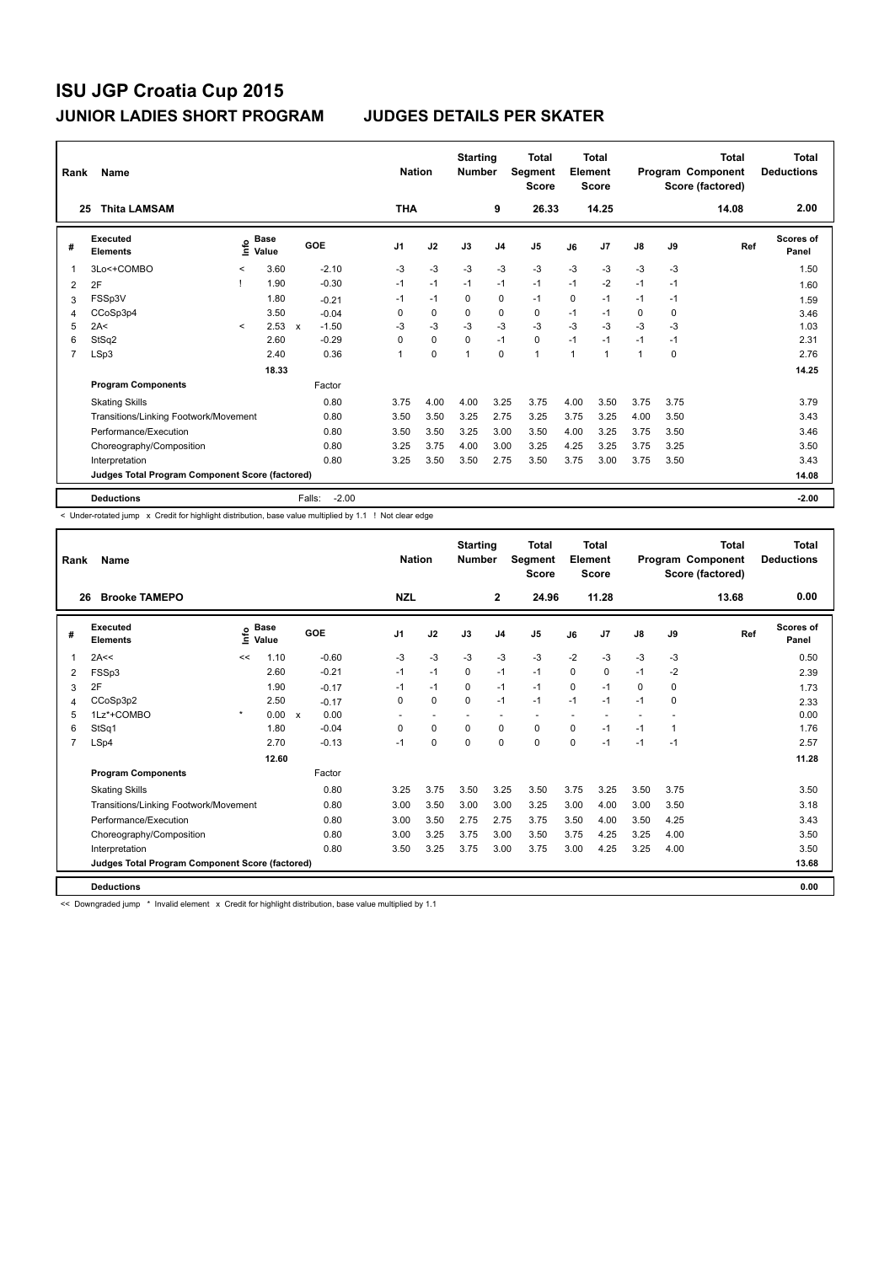| Rank           | Name                                            |         |                      |              |         | <b>Nation</b>  |             | <b>Starting</b><br><b>Number</b> |                | <b>Total</b><br>Segment<br><b>Score</b> |              | <b>Total</b><br>Element<br><b>Score</b> |               |      | <b>Total</b><br>Program Component<br>Score (factored) | <b>Total</b><br><b>Deductions</b> |
|----------------|-------------------------------------------------|---------|----------------------|--------------|---------|----------------|-------------|----------------------------------|----------------|-----------------------------------------|--------------|-----------------------------------------|---------------|------|-------------------------------------------------------|-----------------------------------|
| 25             | <b>Thita LAMSAM</b>                             |         |                      |              |         | <b>THA</b>     |             |                                  | 9              | 26.33                                   |              | 14.25                                   |               |      | 14.08                                                 | 2.00                              |
| #              | Executed<br><b>Elements</b>                     | ١nfo    | <b>Base</b><br>Value |              | GOE     | J <sub>1</sub> | J2          | J3                               | J <sub>4</sub> | J <sub>5</sub>                          | J6           | J7                                      | $\mathsf{J}8$ | J9   | Ref                                                   | <b>Scores of</b><br>Panel         |
| 1              | 3Lo<+COMBO                                      | $\prec$ | 3.60                 |              | $-2.10$ | $-3$           | $-3$        | $-3$                             | $-3$           | $-3$                                    | $-3$         | $-3$                                    | $-3$          | $-3$ |                                                       | 1.50                              |
| 2              | 2F                                              |         | 1.90                 |              | $-0.30$ | $-1$           | $-1$        | $-1$                             | $-1$           | $-1$                                    | $-1$         | $-2$                                    | $-1$          | $-1$ |                                                       | 1.60                              |
| 3              | FSSp3V                                          |         | 1.80                 |              | $-0.21$ | $-1$           | $-1$        | $\Omega$                         | 0              | $-1$                                    | $\Omega$     | $-1$                                    | $-1$          | $-1$ |                                                       | 1.59                              |
| 4              | CCoSp3p4                                        |         | 3.50                 |              | $-0.04$ | 0              | 0           | 0                                | 0              | 0                                       | $-1$         | $-1$                                    | 0             | 0    |                                                       | 3.46                              |
| 5              | 2A<                                             | $\prec$ | 2.53                 | $\mathsf{x}$ | $-1.50$ | $-3$           | $-3$        | $-3$                             | $-3$           | $-3$                                    | $-3$         | $-3$                                    | $-3$          | $-3$ |                                                       | 1.03                              |
| 6              | StSq2                                           |         | 2.60                 |              | $-0.29$ | 0              | $\mathbf 0$ | $\mathbf 0$                      | $-1$           | $\mathbf 0$                             | $-1$         | $-1$                                    | $-1$          | $-1$ |                                                       | 2.31                              |
| $\overline{7}$ | LSp3                                            |         | 2.40                 |              | 0.36    | 1              | $\mathbf 0$ | 1                                | $\mathbf 0$    | $\overline{1}$                          | $\mathbf{1}$ | 1                                       | 1             | 0    |                                                       | 2.76                              |
|                |                                                 |         | 18.33                |              |         |                |             |                                  |                |                                         |              |                                         |               |      |                                                       | 14.25                             |
|                | <b>Program Components</b>                       |         |                      |              | Factor  |                |             |                                  |                |                                         |              |                                         |               |      |                                                       |                                   |
|                | <b>Skating Skills</b>                           |         |                      |              | 0.80    | 3.75           | 4.00        | 4.00                             | 3.25           | 3.75                                    | 4.00         | 3.50                                    | 3.75          | 3.75 |                                                       | 3.79                              |
|                | Transitions/Linking Footwork/Movement           |         |                      |              | 0.80    | 3.50           | 3.50        | 3.25                             | 2.75           | 3.25                                    | 3.75         | 3.25                                    | 4.00          | 3.50 |                                                       | 3.43                              |
|                | Performance/Execution                           |         |                      |              | 0.80    | 3.50           | 3.50        | 3.25                             | 3.00           | 3.50                                    | 4.00         | 3.25                                    | 3.75          | 3.50 |                                                       | 3.46                              |
|                | Choreography/Composition                        |         |                      |              | 0.80    | 3.25           | 3.75        | 4.00                             | 3.00           | 3.25                                    | 4.25         | 3.25                                    | 3.75          | 3.25 |                                                       | 3.50                              |
|                | Interpretation                                  |         |                      |              | 0.80    | 3.25           | 3.50        | 3.50                             | 2.75           | 3.50                                    | 3.75         | 3.00                                    | 3.75          | 3.50 |                                                       | 3.43                              |
|                | Judges Total Program Component Score (factored) |         |                      |              |         |                |             |                                  |                |                                         |              |                                         |               |      |                                                       | 14.08                             |
|                | <b>Deductions</b>                               |         |                      | Falls:       | $-2.00$ |                |             |                                  |                |                                         |              |                                         |               |      |                                                       | $-2.00$                           |

< Under-rotated jump x Credit for highlight distribution, base value multiplied by 1.1 ! Not clear edge

| Rank | Name                                            |         |                      |              |         |            | <b>Nation</b> | <b>Starting</b><br><b>Number</b> |                | <b>Total</b><br>Segment<br><b>Score</b> |          | <b>Total</b><br>Element<br><b>Score</b> |      |             | <b>Total</b><br>Program Component<br>Score (factored) | <b>Total</b><br><b>Deductions</b> |
|------|-------------------------------------------------|---------|----------------------|--------------|---------|------------|---------------|----------------------------------|----------------|-----------------------------------------|----------|-----------------------------------------|------|-------------|-------------------------------------------------------|-----------------------------------|
| 26   | <b>Brooke TAMEPO</b>                            |         |                      |              |         | <b>NZL</b> |               |                                  | $\mathbf{2}$   | 24.96                                   |          | 11.28                                   |      |             | 13.68                                                 | 0.00                              |
| #    | Executed<br><b>Elements</b>                     | ۴٥      | <b>Base</b><br>Value |              | GOE     | J1         | J2            | J3                               | J <sub>4</sub> | J5                                      | J6       | J <sub>7</sub>                          | J8   | J9          | Ref                                                   | Scores of<br>Panel                |
| 1    | 2A<<                                            | <<      | 1.10                 |              | $-0.60$ | $-3$       | $-3$          | $-3$                             | $-3$           | $-3$                                    | $-2$     | $-3$                                    | $-3$ | -3          |                                                       | 0.50                              |
| 2    | FSSp3                                           |         | 2.60                 |              | $-0.21$ | $-1$       | $-1$          | 0                                | $-1$           | $-1$                                    | $\Omega$ | $\mathbf 0$                             | $-1$ | $-2$        |                                                       | 2.39                              |
| 3    | 2F                                              |         | 1.90                 |              | $-0.17$ | $-1$       | $-1$          | $\Omega$                         | $-1$           | $-1$                                    | $\Omega$ | $-1$                                    | 0    | 0           |                                                       | 1.73                              |
| 4    | CCoSp3p2                                        |         | 2.50                 |              | $-0.17$ | 0          | $\mathbf 0$   | $\mathbf 0$                      | $-1$           | $-1$                                    | $-1$     | $-1$                                    | $-1$ | $\mathbf 0$ |                                                       | 2.33                              |
| 5    | 1Lz*+COMBO                                      | $\star$ | 0.00                 | $\mathsf{x}$ | 0.00    |            |               |                                  | <b>.</b>       |                                         |          |                                         |      |             |                                                       | 0.00                              |
| 6    | StSq1                                           |         | 1.80                 |              | $-0.04$ | 0          | $\mathbf 0$   | $\Omega$                         | 0              | 0                                       | 0        | $-1$                                    | $-1$ | 1           |                                                       | 1.76                              |
| 7    | LSp4                                            |         | 2.70                 |              | $-0.13$ | $-1$       | $\mathbf 0$   | $\Omega$                         | $\Omega$       | 0                                       | $\Omega$ | $-1$                                    | $-1$ | $-1$        |                                                       | 2.57                              |
|      |                                                 |         | 12.60                |              |         |            |               |                                  |                |                                         |          |                                         |      |             |                                                       | 11.28                             |
|      | <b>Program Components</b>                       |         |                      |              | Factor  |            |               |                                  |                |                                         |          |                                         |      |             |                                                       |                                   |
|      | <b>Skating Skills</b>                           |         |                      |              | 0.80    | 3.25       | 3.75          | 3.50                             | 3.25           | 3.50                                    | 3.75     | 3.25                                    | 3.50 | 3.75        |                                                       | 3.50                              |
|      | Transitions/Linking Footwork/Movement           |         |                      |              | 0.80    | 3.00       | 3.50          | 3.00                             | 3.00           | 3.25                                    | 3.00     | 4.00                                    | 3.00 | 3.50        |                                                       | 3.18                              |
|      | Performance/Execution                           |         |                      |              | 0.80    | 3.00       | 3.50          | 2.75                             | 2.75           | 3.75                                    | 3.50     | 4.00                                    | 3.50 | 4.25        |                                                       | 3.43                              |
|      | Choreography/Composition                        |         |                      |              | 0.80    | 3.00       | 3.25          | 3.75                             | 3.00           | 3.50                                    | 3.75     | 4.25                                    | 3.25 | 4.00        |                                                       | 3.50                              |
|      | Interpretation                                  |         |                      |              | 0.80    | 3.50       | 3.25          | 3.75                             | 3.00           | 3.75                                    | 3.00     | 4.25                                    | 3.25 | 4.00        |                                                       | 3.50                              |
|      | Judges Total Program Component Score (factored) |         |                      |              |         |            |               |                                  |                |                                         |          |                                         |      |             |                                                       | 13.68                             |
|      | <b>Deductions</b>                               |         |                      |              |         |            |               |                                  |                |                                         |          |                                         |      |             |                                                       | 0.00                              |

<< Downgraded jump \* Invalid element x Credit for highlight distribution, base value multiplied by 1.1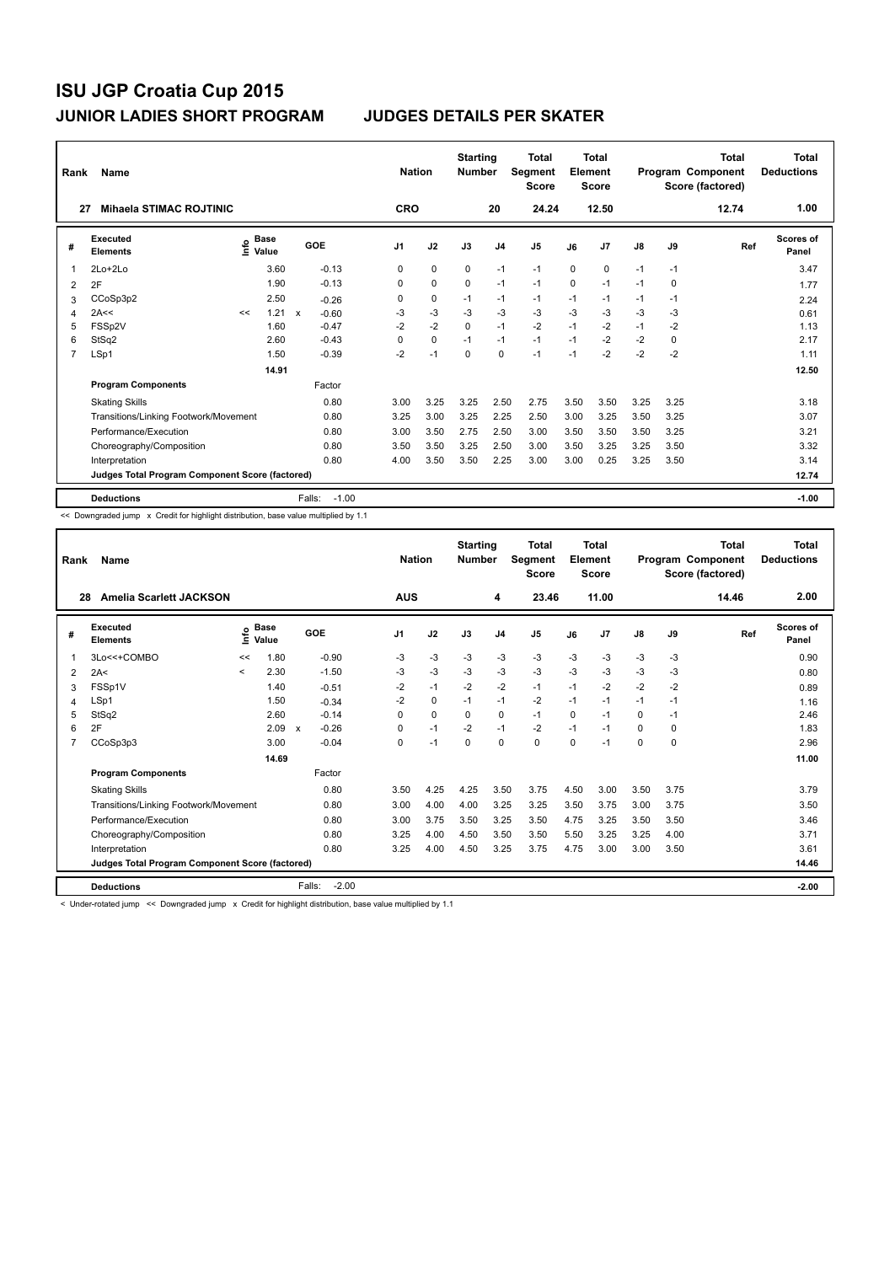| Rank | Name                                            |    |                                    |              |                   | <b>Nation</b>  |             | <b>Starting</b><br><b>Number</b> |                | Total<br>Segment<br><b>Score</b> |          | <b>Total</b><br>Element<br><b>Score</b> |      |          | Total<br>Program Component<br>Score (factored) | Total<br><b>Deductions</b> |
|------|-------------------------------------------------|----|------------------------------------|--------------|-------------------|----------------|-------------|----------------------------------|----------------|----------------------------------|----------|-----------------------------------------|------|----------|------------------------------------------------|----------------------------|
| 27   | <b>Mihaela STIMAC ROJTINIC</b>                  |    |                                    |              |                   | <b>CRO</b>     |             |                                  | 20             | 24.24                            |          | 12.50                                   |      |          | 12.74                                          | 1.00                       |
| #    | Executed<br><b>Elements</b>                     |    | <b>Base</b><br>$\frac{6}{5}$ Value |              | GOE               | J <sub>1</sub> | J2          | J3                               | J <sub>4</sub> | J <sub>5</sub>                   | J6       | J <sub>7</sub>                          | J8   | J9       | Ref                                            | <b>Scores of</b><br>Panel  |
| 1    | 2Lo+2Lo                                         |    | 3.60                               |              | $-0.13$           | $\Omega$       | $\mathbf 0$ | $\Omega$                         | $-1$           | $-1$                             | $\Omega$ | $\Omega$                                | $-1$ | $-1$     |                                                | 3.47                       |
| 2    | 2F                                              |    | 1.90                               |              | $-0.13$           | $\Omega$       | $\Omega$    | $\Omega$                         | $-1$           | $-1$                             | $\Omega$ | $-1$                                    | $-1$ | $\Omega$ |                                                | 1.77                       |
| 3    | CCoSp3p2                                        |    | 2.50                               |              | $-0.26$           | 0              | 0           | $-1$                             | $-1$           | $-1$                             | $-1$     | $-1$                                    | $-1$ | $-1$     |                                                | 2.24                       |
| 4    | 2A<<                                            | << | 1.21                               | $\mathsf{x}$ | $-0.60$           | $-3$           | $-3$        | $-3$                             | $-3$           | $-3$                             | $-3$     | $-3$                                    | $-3$ | $-3$     |                                                | 0.61                       |
| 5    | FSSp2V                                          |    | 1.60                               |              | $-0.47$           | $-2$           | $-2$        | $\mathbf 0$                      | $-1$           | $-2$                             | $-1$     | $-2$                                    | $-1$ | $-2$     |                                                | 1.13                       |
| 6    | StSq2                                           |    | 2.60                               |              | $-0.43$           | $\Omega$       | 0           | $-1$                             | $-1$           | $-1$                             | $-1$     | $-2$                                    | $-2$ | 0        |                                                | 2.17                       |
| 7    | LSp1                                            |    | 1.50                               |              | $-0.39$           | $-2$           | $-1$        | $\mathbf 0$                      | $\mathbf 0$    | $-1$                             | $-1$     | $-2$                                    | $-2$ | $-2$     |                                                | 1.11                       |
|      |                                                 |    | 14.91                              |              |                   |                |             |                                  |                |                                  |          |                                         |      |          |                                                | 12.50                      |
|      | <b>Program Components</b>                       |    |                                    |              | Factor            |                |             |                                  |                |                                  |          |                                         |      |          |                                                |                            |
|      | <b>Skating Skills</b>                           |    |                                    |              | 0.80              | 3.00           | 3.25        | 3.25                             | 2.50           | 2.75                             | 3.50     | 3.50                                    | 3.25 | 3.25     |                                                | 3.18                       |
|      | Transitions/Linking Footwork/Movement           |    |                                    |              | 0.80              | 3.25           | 3.00        | 3.25                             | 2.25           | 2.50                             | 3.00     | 3.25                                    | 3.50 | 3.25     |                                                | 3.07                       |
|      | Performance/Execution                           |    |                                    |              | 0.80              | 3.00           | 3.50        | 2.75                             | 2.50           | 3.00                             | 3.50     | 3.50                                    | 3.50 | 3.25     |                                                | 3.21                       |
|      | Choreography/Composition                        |    |                                    |              | 0.80              | 3.50           | 3.50        | 3.25                             | 2.50           | 3.00                             | 3.50     | 3.25                                    | 3.25 | 3.50     |                                                | 3.32                       |
|      | Interpretation                                  |    |                                    |              | 0.80              | 4.00           | 3.50        | 3.50                             | 2.25           | 3.00                             | 3.00     | 0.25                                    | 3.25 | 3.50     |                                                | 3.14                       |
|      | Judges Total Program Component Score (factored) |    |                                    |              |                   |                |             |                                  |                |                                  |          |                                         |      |          |                                                | 12.74                      |
|      | <b>Deductions</b>                               |    |                                    |              | $-1.00$<br>Falls: |                |             |                                  |                |                                  |          |                                         |      |          |                                                | $-1.00$                    |

<< Downgraded jump x Credit for highlight distribution, base value multiplied by 1.1

| Rank           | <b>Name</b>                                     |         |                      |                           |         | <b>Nation</b> |          | <b>Starting</b><br><b>Number</b> |                | <b>Total</b><br>Segment<br><b>Score</b> |             | <b>Total</b><br>Element<br><b>Score</b> |               |             | <b>Total</b><br>Program Component<br>Score (factored) | <b>Total</b><br><b>Deductions</b> |
|----------------|-------------------------------------------------|---------|----------------------|---------------------------|---------|---------------|----------|----------------------------------|----------------|-----------------------------------------|-------------|-----------------------------------------|---------------|-------------|-------------------------------------------------------|-----------------------------------|
| 28             | <b>Amelia Scarlett JACKSON</b>                  |         |                      |                           |         | <b>AUS</b>    |          |                                  | 4              | 23.46                                   |             | 11.00                                   |               |             | 14.46                                                 | 2.00                              |
| #              | Executed<br><b>Elements</b>                     | ١nfo    | <b>Base</b><br>Value |                           | GOE     | J1            | J2       | J3                               | J <sub>4</sub> | J <sub>5</sub>                          | J6          | J <sub>7</sub>                          | $\mathsf{J}8$ | J9          | Ref                                                   | Scores of<br>Panel                |
|                | 3Lo<<+COMBO                                     | <<      | 1.80                 |                           | $-0.90$ | $-3$          | $-3$     | $-3$                             | $-3$           | $-3$                                    | $-3$        | $-3$                                    | $-3$          | -3          |                                                       | 0.90                              |
| 2              | 2A<                                             | $\prec$ | 2.30                 |                           | $-1.50$ | -3            | $-3$     | $-3$                             | $-3$           | $-3$                                    | $-3$        | $-3$                                    | $-3$          | $-3$        |                                                       | 0.80                              |
| 3              | FSSp1V                                          |         | 1.40                 |                           | $-0.51$ | $-2$          | $-1$     | $-2$                             | $-2$           | $-1$                                    | $-1$        | $-2$                                    | $-2$          | $-2$        |                                                       | 0.89                              |
| 4              | LSp1                                            |         | 1.50                 |                           | $-0.34$ | $-2$          | 0        | $-1$                             | $-1$           | $-2$                                    | $-1$        | $-1$                                    | $-1$          | $-1$        |                                                       | 1.16                              |
| 5              | StSq2                                           |         | 2.60                 |                           | $-0.14$ | $\Omega$      | $\Omega$ | $\Omega$                         | $\Omega$       | $-1$                                    | $\Omega$    | $-1$                                    | 0             | $-1$        |                                                       | 2.46                              |
| 6              | 2F                                              |         | 2.09                 | $\boldsymbol{\mathsf{x}}$ | $-0.26$ | 0             | $-1$     | $-2$                             | $-1$           | $-2$                                    | $-1$        | $-1$                                    | 0             | 0           |                                                       | 1.83                              |
| $\overline{7}$ | CCoSp3p3                                        |         | 3.00                 |                           | $-0.04$ | 0             | $-1$     | $\mathbf 0$                      | $\mathbf 0$    | 0                                       | $\mathbf 0$ | $-1$                                    | 0             | $\mathbf 0$ |                                                       | 2.96                              |
|                |                                                 |         | 14.69                |                           |         |               |          |                                  |                |                                         |             |                                         |               |             |                                                       | 11.00                             |
|                | <b>Program Components</b>                       |         |                      |                           | Factor  |               |          |                                  |                |                                         |             |                                         |               |             |                                                       |                                   |
|                | <b>Skating Skills</b>                           |         |                      |                           | 0.80    | 3.50          | 4.25     | 4.25                             | 3.50           | 3.75                                    | 4.50        | 3.00                                    | 3.50          | 3.75        |                                                       | 3.79                              |
|                | Transitions/Linking Footwork/Movement           |         |                      |                           | 0.80    | 3.00          | 4.00     | 4.00                             | 3.25           | 3.25                                    | 3.50        | 3.75                                    | 3.00          | 3.75        |                                                       | 3.50                              |
|                | Performance/Execution                           |         |                      |                           | 0.80    | 3.00          | 3.75     | 3.50                             | 3.25           | 3.50                                    | 4.75        | 3.25                                    | 3.50          | 3.50        |                                                       | 3.46                              |
|                | Choreography/Composition                        |         |                      |                           | 0.80    | 3.25          | 4.00     | 4.50                             | 3.50           | 3.50                                    | 5.50        | 3.25                                    | 3.25          | 4.00        |                                                       | 3.71                              |
|                | Interpretation                                  |         |                      |                           | 0.80    | 3.25          | 4.00     | 4.50                             | 3.25           | 3.75                                    | 4.75        | 3.00                                    | 3.00          | 3.50        |                                                       | 3.61                              |
|                | Judges Total Program Component Score (factored) |         |                      |                           |         |               |          |                                  |                |                                         |             |                                         |               |             |                                                       | 14.46                             |
|                | <b>Deductions</b>                               |         |                      | Falls:                    | $-2.00$ |               |          |                                  |                |                                         |             |                                         |               |             |                                                       | $-2.00$                           |

< Under-rotated jump << Downgraded jump x Credit for highlight distribution, base value multiplied by 1.1